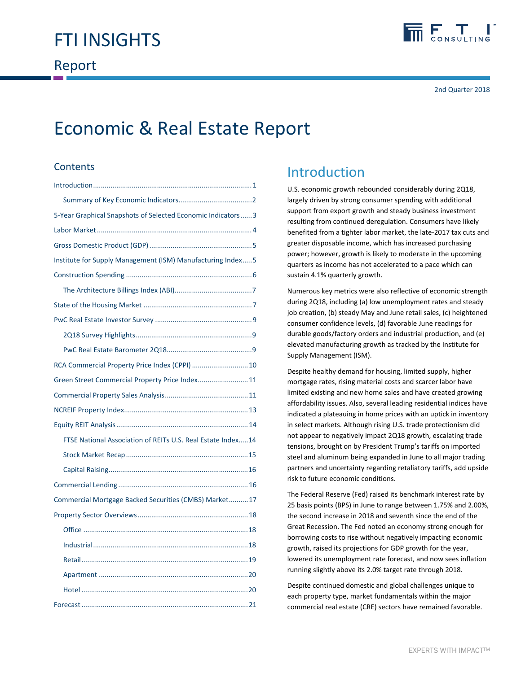

2nd Quarter 2018

## Economic & Real Estate Report

## **Contents**

## Introduction

U.S. economic growth rebounded considerably during 2Q18, largely driven by strong consumer spending with additional support from export growth and steady business investment resulting from continued deregulation. Consumers have likely benefited from a tighter labor market, the late‐2017 tax cuts and greater disposable income, which has increased purchasing power; however, growth is likely to moderate in the upcoming quarters as income has not accelerated to a pace which can sustain 4.1% quarterly growth.

Numerous key metrics were also reflective of economic strength during 2Q18, including (a) low unemployment rates and steady job creation, (b) steady May and June retail sales, (c) heightened consumer confidence levels, (d) favorable June readings for durable goods/factory orders and industrial production, and (e) elevated manufacturing growth as tracked by the Institute for Supply Management (ISM).

Despite healthy demand for housing, limited supply, higher mortgage rates, rising material costs and scarcer labor have limited existing and new home sales and have created growing affordability issues. Also, several leading residential indices have indicated a plateauing in home prices with an uptick in inventory in select markets. Although rising U.S. trade protectionism did not appear to negatively impact 2Q18 growth, escalating trade tensions, brought on by President Trump's tariffs on imported steel and aluminum being expanded in June to all major trading partners and uncertainty regarding retaliatory tariffs, add upside risk to future economic conditions.

The Federal Reserve (Fed) raised its benchmark interest rate by 25 basis points (BPS) in June to range between 1.75% and 2.00%, the second increase in 2018 and seventh since the end of the Great Recession. The Fed noted an economy strong enough for borrowing costs to rise without negatively impacting economic growth, raised its projections for GDP growth for the year, lowered its unemployment rate forecast, and now sees inflation running slightly above its 2.0% target rate through 2018.

Despite continued domestic and global challenges unique to each property type, market fundamentals within the major commercial real estate (CRE) sectors have remained favorable.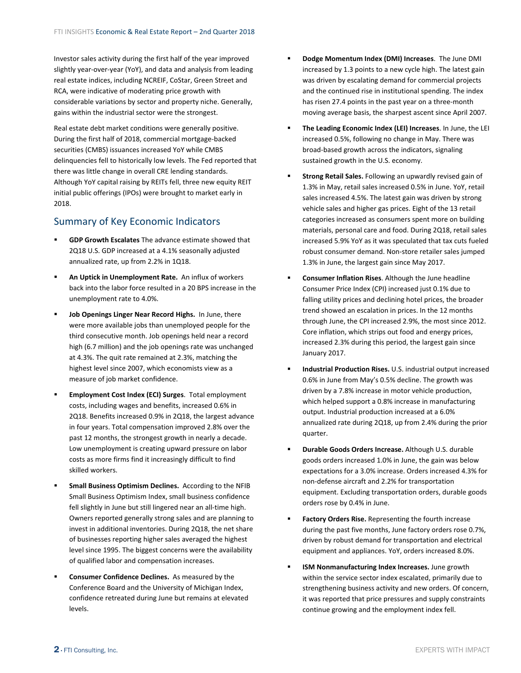<span id="page-1-0"></span>Investor sales activity during the first half of the year improved slightly year‐over‐year (YoY), and data and analysis from leading real estate indices, including NCREIF, CoStar, Green Street and RCA, were indicative of moderating price growth with considerable variations by sector and property niche. Generally, gains within the industrial sector were the strongest.

Real estate debt market conditions were generally positive. During the first half of 2018, commercial mortgage‐backed securities (CMBS) issuances increased YoY while CMBS delinquencies fell to historically low levels. The Fed reported that there was little change in overall CRE lending standards. Although YoY capital raising by REITs fell, three new equity REIT initial public offerings (IPOs) were brought to market early in 2018.

## Summary of Key Economic Indicators

- **GDP Growth Escalates** The advance estimate showed that 2Q18 U.S. GDP increased at a 4.1% seasonally adjusted annualized rate, up from 2.2% in 1Q18.
- **An Uptick in Unemployment Rate.** An influx of workers back into the labor force resulted in a 20 BPS increase in the unemployment rate to 4.0%.
- **Job Openings Linger Near Record Highs.** In June, there were more available jobs than unemployed people for the third consecutive month. Job openings held near a record high (6.7 million) and the job openings rate was unchanged at 4.3%. The quit rate remained at 2.3%, matching the highest level since 2007, which economists view as a measure of job market confidence.
- **Employment Cost Index (ECI) Surges**. Total employment costs, including wages and benefits, increased 0.6% in 2Q18. Benefits increased 0.9% in 2Q18, the largest advance in four years. Total compensation improved 2.8% over the past 12 months, the strongest growth in nearly a decade. Low unemployment is creating upward pressure on labor costs as more firms find it increasingly difficult to find skilled workers.
- **Small Business Optimism Declines.** According to the NFIB Small Business Optimism Index, small business confidence fell slightly in June but still lingered near an all-time high. Owners reported generally strong sales and are planning to invest in additional inventories. During 2Q18, the net share of businesses reporting higher sales averaged the highest level since 1995. The biggest concerns were the availability of qualified labor and compensation increases.
- **Consumer Confidence Declines.** As measured by the Conference Board and the University of Michigan Index, confidence retreated during June but remains at elevated levels.
- **Dodge Momentum Index (DMI) Increases**. The June DMI increased by 1.3 points to a new cycle high. The latest gain was driven by escalating demand for commercial projects and the continued rise in institutional spending. The index has risen 27.4 points in the past year on a three-month moving average basis, the sharpest ascent since April 2007.
- **The Leading Economic Index (LEI) Increases**. In June, the LEI increased 0.5%, following no change in May. There was broad‐based growth across the indicators, signaling sustained growth in the U.S. economy.
- **Strong Retail Sales.** Following an upwardly revised gain of 1.3% in May, retail sales increased 0.5% in June. YoY, retail sales increased 4.5%. The latest gain was driven by strong vehicle sales and higher gas prices. Eight of the 13 retail categories increased as consumers spent more on building materials, personal care and food. During 2Q18, retail sales increased 5.9% YoY as it was speculated that tax cuts fueled robust consumer demand. Non‐store retailer sales jumped 1.3% in June, the largest gain since May 2017.
- **Consumer Inflation Rises**. Although the June headline Consumer Price Index (CPI) increased just 0.1% due to falling utility prices and declining hotel prices, the broader trend showed an escalation in prices. In the 12 months through June, the CPI increased 2.9%, the most since 2012. Core inflation, which strips out food and energy prices, increased 2.3% during this period, the largest gain since January 2017.
- **Industrial Production Rises.** U.S. industrial output increased 0.6% in June from May's 0.5% decline. The growth was driven by a 7.8% increase in motor vehicle production, which helped support a 0.8% increase in manufacturing output. Industrial production increased at a 6.0% annualized rate during 2Q18, up from 2.4% during the prior quarter.
- **Durable Goods Orders Increase.** Although U.S. durable goods orders increased 1.0% in June, the gain was below expectations for a 3.0% increase. Orders increased 4.3% for non‐defense aircraft and 2.2% for transportation equipment. Excluding transportation orders, durable goods orders rose by 0.4% in June.
- **Factory Orders Rise.** Representing the fourth increase during the past five months, June factory orders rose 0.7%, driven by robust demand for transportation and electrical equipment and appliances. YoY, orders increased 8.0%.
- **ISM Nonmanufacturing Index Increases.** June growth within the service sector index escalated, primarily due to strengthening business activity and new orders. Of concern, it was reported that price pressures and supply constraints continue growing and the employment index fell.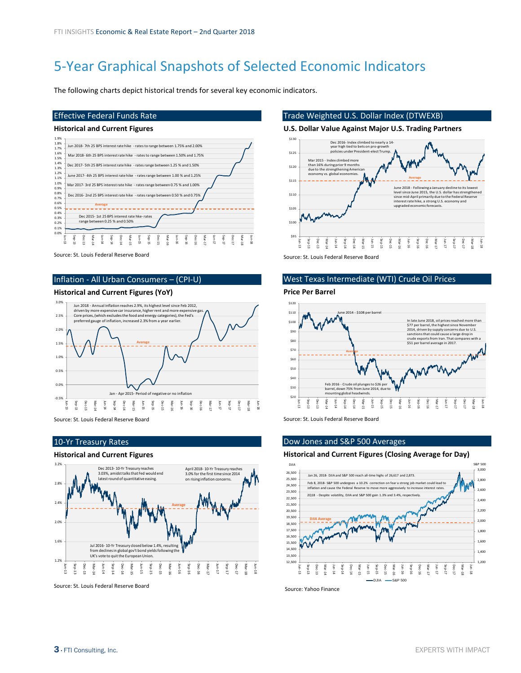## <span id="page-2-0"></span>5‐Year Graphical Snapshots of Selected Economic Indicators

The following charts depict historical trends for several key economic indicators.

#### Effective Federal Funds Rate

#### **Historical and Current Figures**



Source: St. Louis Federal Reserve Board

#### Inflation ‐ All Urban Consumers – (CPI‐U)

#### **Historical and Current Figures (YoY)**



Source: St. Louis Federal Reserve Board

#### 10‐Yr Treasury Rates



#### **Historical and Current Figures**

#### Trade Weighted U.S. Dollar Index (DTWEXB)

#### **U.S. Dollar Value Against Major U.S. Trading Partners**



Source: St. Louis Federal Reserve Board

### West Texas Intermediate (WTI) Crude Oil Prices

**Price Per Barrel**



Source: St. Louis Federal Reserve Board

#### Dow Jones and S&P 500 Averages

#### **Historical and Current Figures (Closing Average for Day)**



Source: Yahoo Finance

Source: St. Louis Federal Reserve Board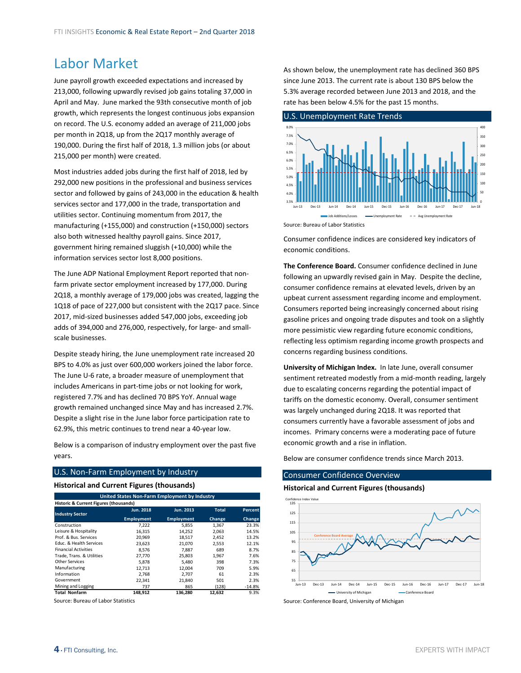## <span id="page-3-0"></span>Labor Market

June payroll growth exceeded expectations and increased by 213,000, following upwardly revised job gains totaling 37,000 in April and May. June marked the 93th consecutive month of job growth, which represents the longest continuous jobs expansion on record. The U.S. economy added an average of 211,000 jobs per month in 2Q18, up from the 2Q17 monthly average of 190,000. During the first half of 2018, 1.3 million jobs (or about 215,000 per month) were created.

Most industries added jobs during the first half of 2018, led by 292,000 new positions in the professional and business services sector and followed by gains of 243,000 in the education & health services sector and 177,000 in the trade, transportation and utilities sector. Continuing momentum from 2017, the manufacturing (+155,000) and construction (+150,000) sectors also both witnessed healthy payroll gains. Since 2017, government hiring remained sluggish (+10,000) while the information services sector lost 8,000 positions.

The June ADP National Employment Report reported that non‐ farm private sector employment increased by 177,000. During 2Q18, a monthly average of 179,000 jobs was created, lagging the 1Q18 of pace of 227,000 but consistent with the 2Q17 pace. Since 2017, mid‐sized businesses added 547,000 jobs, exceeding job adds of 394,000 and 276,000, respectively, for large- and smallscale businesses.

Despite steady hiring, the June unemployment rate increased 20 BPS to 4.0% as just over 600,000 workers joined the labor force. The June U‐6 rate, a broader measure of unemployment that includes Americans in part‐time jobs or not looking for work, registered 7.7% and has declined 70 BPS YoY. Annual wage growth remained unchanged since May and has increased 2.7%. Despite a slight rise in the June labor force participation rate to 62.9%, this metric continues to trend near a 40‐year low.

Below is a comparison of industry employment over the past five years.

#### U.S. Non‐Farm Employment by Industry

#### **Historical and Current Figures (thousands)**

| United States Non-Farm Employment by Industry |                   |            |              |                |  |  |  |  |
|-----------------------------------------------|-------------------|------------|--------------|----------------|--|--|--|--|
| Historic & Current Figures (thousands)        |                   |            |              |                |  |  |  |  |
|                                               | Jun. 2018         | Jun. 2013  | <b>Total</b> | <b>Percent</b> |  |  |  |  |
| <b>Industry Sector</b>                        | <b>Employment</b> | Employment | Change       | Change         |  |  |  |  |
| Construction                                  | 7.222             | 5.855      | 1.367        | 23.3%          |  |  |  |  |
| Leisure & Hospitality                         | 16,315            | 14.252     | 2.063        | 14.5%          |  |  |  |  |
| Prof. & Bus. Services                         | 20.969            | 18.517     | 2.452        | 13.2%          |  |  |  |  |
| <b>Educ. &amp; Health Services</b>            | 23.623            | 21,070     | 2.553        | 12.1%          |  |  |  |  |
| <b>Financial Activities</b>                   | 8.576             | 7.887      | 689          | 8.7%           |  |  |  |  |
| Trade. Trans. & Utilities                     | 27,770            | 25,803     | 1.967        | 7.6%           |  |  |  |  |
| Other Services                                | 5.878             | 5.480      | 398          | 7.3%           |  |  |  |  |
| Manufacturing                                 | 12.713            | 12.004     | 709          | 5.9%           |  |  |  |  |
| Information                                   | 2.768             | 2.707      | 61           | 2.3%           |  |  |  |  |
| Government                                    | 22.341            | 21.840     | 501          | 2.3%           |  |  |  |  |
| Mining and Logging                            | 737               | 865        | (128)        | $-14.8%$       |  |  |  |  |
| <b>Total Nonfarm</b>                          | 148.912           | 136,280    | 12,632       | 9.3%           |  |  |  |  |

Source: Bureau of Labor Statistics

As shown below, the unemployment rate has declined 360 BPS since June 2013. The current rate is about 130 BPS below the 5.3% average recorded between June 2013 and 2018, and the rate has been below 4.5% for the past 15 months.





Consumer confidence indices are considered key indicators of economic conditions.

**The Conference Board.** Consumer confidence declined in June following an upwardly revised gain in May. Despite the decline, consumer confidence remains at elevated levels, driven by an upbeat current assessment regarding income and employment. Consumers reported being increasingly concerned about rising gasoline prices and ongoing trade disputes and took on a slightly more pessimistic view regarding future economic conditions, reflecting less optimism regarding income growth prospects and concerns regarding business conditions.

**University of Michigan Index.** In late June, overall consumer sentiment retreated modestly from a mid-month reading, largely due to escalating concerns regarding the potential impact of tariffs on the domestic economy. Overall, consumer sentiment was largely unchanged during 2Q18. It was reported that consumers currently have a favorable assessment of jobs and incomes. Primary concerns were a moderating pace of future economic growth and a rise in inflation.

Below are consumer confidence trends since March 2013.

#### Consumer Confidence Overview

#### **Historical and Current Figures (thousands)**



Source: Conference Board, University of Michigan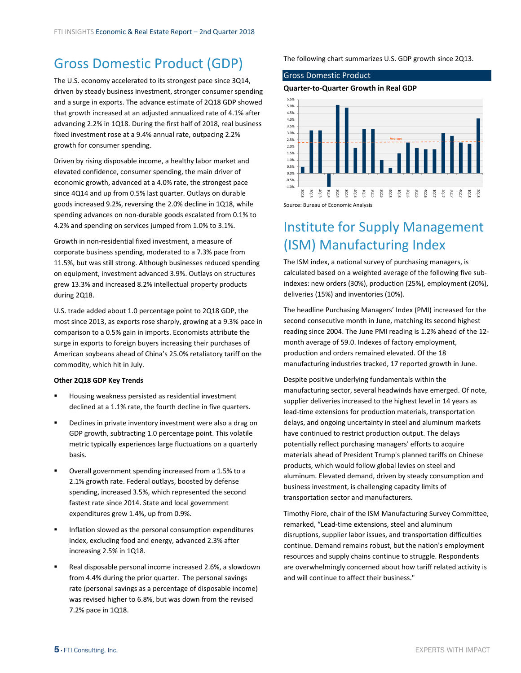## <span id="page-4-0"></span>Gross Domestic Product (GDP)

The U.S. economy accelerated to its strongest pace since 3Q14, driven by steady business investment, stronger consumer spending and a surge in exports. The advance estimate of 2Q18 GDP showed that growth increased at an adjusted annualized rate of 4.1% after advancing 2.2% in 1Q18. During the first half of 2018, real business fixed investment rose at a 9.4% annual rate, outpacing 2.2% growth for consumer spending.

Driven by rising disposable income, a healthy labor market and elevated confidence, consumer spending, the main driver of economic growth, advanced at a 4.0% rate, the strongest pace since 4Q14 and up from 0.5% last quarter. Outlays on durable goods increased 9.2%, reversing the 2.0% decline in 1Q18, while spending advances on non‐durable goods escalated from 0.1% to 4.2% and spending on services jumped from 1.0% to 3.1%.

Growth in non‐residential fixed investment, a measure of corporate business spending, moderated to a 7.3% pace from 11.5%, but was still strong. Although businesses reduced spending on equipment, investment advanced 3.9%. Outlays on structures grew 13.3% and increased 8.2% intellectual property products during 2Q18.

U.S. trade added about 1.0 percentage point to 2Q18 GDP, the most since 2013, as exports rose sharply, growing at a 9.3% pace in comparison to a 0.5% gain in imports. Economists attribute the surge in exports to foreign buyers increasing their purchases of American soybeans ahead of China's 25.0% retaliatory tariff on the commodity, which hit in July.

#### **Other 2Q18 GDP Key Trends**

- Housing weakness persisted as residential investment declined at a 1.1% rate, the fourth decline in five quarters.
- **Declines in private inventory investment were also a drag on** GDP growth, subtracting 1.0 percentage point. This volatile metric typically experiences large fluctuations on a quarterly basis.
- Overall government spending increased from a 1.5% to a 2.1% growth rate. Federal outlays, boosted by defense spending, increased 3.5%, which represented the second fastest rate since 2014. State and local government expenditures grew 1.4%, up from 0.9%.
- Inflation slowed as the personal consumption expenditures index, excluding food and energy, advanced 2.3% after increasing 2.5% in 1Q18.
- Real disposable personal income increased 2.6%, a slowdown from 4.4% during the prior quarter. The personal savings rate (personal savings as a percentage of disposable income) was revised higher to 6.8%, but was down from the revised 7.2% pace in 1Q18.

The following chart summarizes U.S. GDP growth since 2Q13.

#### Gross Domestic Product

**Quarter‐to‐Quarter Growth in Real GDP**



## Institute for Supply Management (ISM) Manufacturing Index

The ISM index, a national survey of purchasing managers, is calculated based on a weighted average of the following five sub‐ indexes: new orders (30%), production (25%), employment (20%), deliveries (15%) and inventories (10%).

The headline Purchasing Managers' Index (PMI) increased for the second consecutive month in June, matching its second highest reading since 2004. The June PMI reading is 1.2% ahead of the 12‐ month average of 59.0. Indexes of factory employment, production and orders remained elevated. Of the 18 manufacturing industries tracked, 17 reported growth in June.

Despite positive underlying fundamentals within the manufacturing sector, several headwinds have emerged. Of note, supplier deliveries increased to the highest level in 14 years as lead-time extensions for production materials, transportation delays, and ongoing uncertainty in steel and aluminum markets have continued to restrict production output. The delays potentially reflect purchasing managers' efforts to acquire materials ahead of President Trump's planned tariffs on Chinese products, which would follow global levies on steel and aluminum. Elevated demand, driven by steady consumption and business investment, is challenging capacity limits of transportation sector and manufacturers.

Timothy Fiore, chair of the ISM Manufacturing Survey Committee, remarked, "Lead‐time extensions, steel and aluminum disruptions, supplier labor issues, and transportation difficulties continue. Demand remains robust, but the nation's employment resources and supply chains continue to struggle. Respondents are overwhelmingly concerned about how tariff related activity is and will continue to affect their business."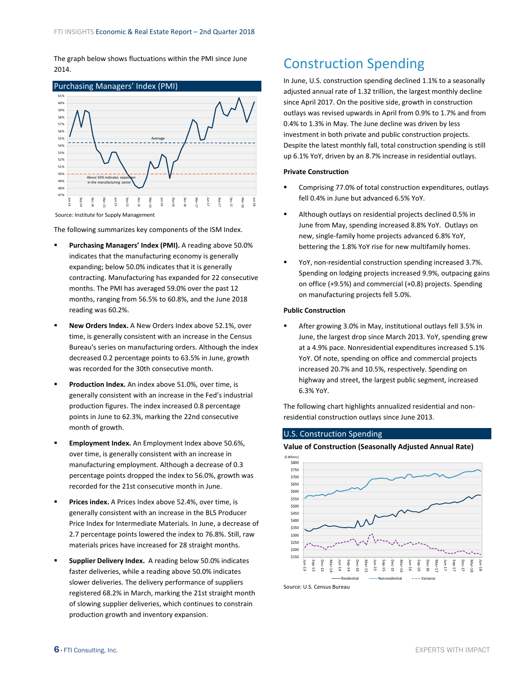<span id="page-5-0"></span>The graph below shows fluctuations within the PMI since June 2014.



Source: Institute for Supply Management

The following summarizes key components of the ISM Index.

- **Purchasing Managers' Index (PMI).** A reading above 50.0% indicates that the manufacturing economy is generally expanding; below 50.0% indicates that it is generally contracting. Manufacturing has expanded for 22 consecutive months. The PMI has averaged 59.0% over the past 12 months, ranging from 56.5% to 60.8%, and the June 2018 reading was 60.2%.
- **New Orders Index.** A New Orders Index above 52.1%, over time, is generally consistent with an increase in the Census Bureau's series on manufacturing orders. Although the index decreased 0.2 percentage points to 63.5% in June, growth was recorded for the 30th consecutive month.
- **Production Index.** An index above 51.0%, over time, is generally consistent with an increase in the Fed's industrial production figures. The index increased 0.8 percentage points in June to 62.3%, marking the 22nd consecutive month of growth.
- **Employment Index.** An Employment Index above 50.6%, over time, is generally consistent with an increase in manufacturing employment. Although a decrease of 0.3 percentage points dropped the index to 56.0%, growth was recorded for the 21st consecutive month in June.
- **Prices index.** A Prices Index above 52.4%, over time, is generally consistent with an increase in the BLS Producer Price Index for Intermediate Materials. In June, a decrease of 2.7 percentage points lowered the index to 76.8%. Still, raw materials prices have increased for 28 straight months.
- **Supplier Delivery Index.** A reading below 50.0% indicates faster deliveries, while a reading above 50.0% indicates slower deliveries. The delivery performance of suppliers registered 68.2% in March, marking the 21st straight month of slowing supplier deliveries, which continues to constrain production growth and inventory expansion.

## Construction Spending

In June, U.S. construction spending declined 1.1% to a seasonally adjusted annual rate of 1.32 trillion, the largest monthly decline since April 2017. On the positive side, growth in construction outlays was revised upwards in April from 0.9% to 1.7% and from 0.4% to 1.3% in May. The June decline was driven by less investment in both private and public construction projects. Despite the latest monthly fall, total construction spending is still up 6.1% YoY, driven by an 8.7% increase in residential outlays.

#### **Private Construction**

- Comprising 77.0% of total construction expenditures, outlays fell 0.4% in June but advanced 6.5% YoY.
- Although outlays on residential projects declined 0.5% in June from May, spending increased 8.8% YoY. Outlays on new, single‐family home projects advanced 6.8% YoY, bettering the 1.8% YoY rise for new multifamily homes.
- YoY, non-residential construction spending increased 3.7%. Spending on lodging projects increased 9.9%, outpacing gains on office (+9.5%) and commercial (+0.8) projects. Spending on manufacturing projects fell 5.0%.

#### **Public Construction**

 After growing 3.0% in May, institutional outlays fell 3.5% in June, the largest drop since March 2013. YoY, spending grew at a 4.9% pace. Nonresidential expenditures increased 5.1% YoY. Of note, spending on office and commercial projects increased 20.7% and 10.5%, respectively. Spending on highway and street, the largest public segment, increased 6.3% YoY.

The following chart highlights annualized residential and non‐ residential construction outlays since June 2013.

#### U.S. Construction Spending

**Value of Construction (Seasonally Adjusted Annual Rate)**

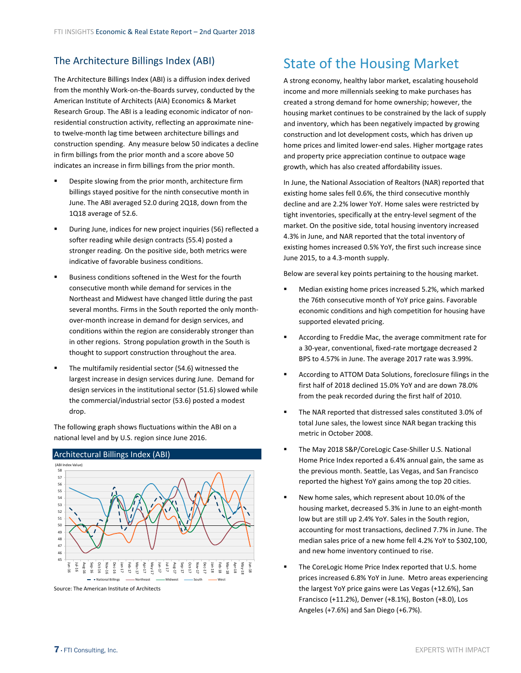## <span id="page-6-0"></span>The Architecture Billings Index (ABI)

The Architecture Billings Index (ABI) is a diffusion index derived from the monthly Work‐on‐the‐Boards survey, conducted by the American Institute of Architects (AIA) Economics & Market Research Group. The ABI is a leading economic indicator of non‐ residential construction activity, reflecting an approximate nine‐ to twelve‐month lag time between architecture billings and construction spending. Any measure below 50 indicates a decline in firm billings from the prior month and a score above 50 indicates an increase in firm billings from the prior month.

- Despite slowing from the prior month, architecture firm billings stayed positive for the ninth consecutive month in June. The ABI averaged 52.0 during 2Q18, down from the 1Q18 average of 52.6.
- During June, indices for new project inquiries (56) reflected a softer reading while design contracts (55.4) posted a stronger reading. On the positive side, both metrics were indicative of favorable business conditions.
- Business conditions softened in the West for the fourth consecutive month while demand for services in the Northeast and Midwest have changed little during the past several months. Firms in the South reported the only month‐ over‐month increase in demand for design services, and conditions within the region are considerably stronger than in other regions. Strong population growth in the South is thought to support construction throughout the area.
- The multifamily residential sector (54.6) witnessed the largest increase in design services during June. Demand for design services in the institutional sector (51.6) slowed while the commercial/industrial sector (53.6) posted a modest drop.

The following graph shows fluctuations within the ABI on a national level and by U.S. region since June 2016.



Architectural Billings Index (ABI)

## State of the Housing Market

A strong economy, healthy labor market, escalating household income and more millennials seeking to make purchases has created a strong demand for home ownership; however, the housing market continues to be constrained by the lack of supply and inventory, which has been negatively impacted by growing construction and lot development costs, which has driven up home prices and limited lower-end sales. Higher mortgage rates and property price appreciation continue to outpace wage growth, which has also created affordability issues.

In June, the National Association of Realtors (NAR) reported that existing home sales fell 0.6%, the third consecutive monthly decline and are 2.2% lower YoY. Home sales were restricted by tight inventories, specifically at the entry‐level segment of the market. On the positive side, total housing inventory increased 4.3% in June, and NAR reported that the total inventory of existing homes increased 0.5% YoY, the first such increase since June 2015, to a 4.3‐month supply.

Below are several key points pertaining to the housing market.

- Median existing home prices increased 5.2%, which marked the 76th consecutive month of YoY price gains. Favorable economic conditions and high competition for housing have supported elevated pricing.
- According to Freddie Mac, the average commitment rate for a 30‐year, conventional, fixed‐rate mortgage decreased 2 BPS to 4.57% in June. The average 2017 rate was 3.99%.
- According to ATTOM Data Solutions, foreclosure filings in the first half of 2018 declined 15.0% YoY and are down 78.0% from the peak recorded during the first half of 2010.
- The NAR reported that distressed sales constituted 3.0% of total June sales, the lowest since NAR began tracking this metric in October 2008.
- The May 2018 S&P/CoreLogic Case‐Shiller U.S. National Home Price Index reported a 6.4% annual gain, the same as the previous month. Seattle, Las Vegas, and San Francisco reported the highest YoY gains among the top 20 cities.
- New home sales, which represent about 10.0% of the housing market, decreased 5.3% in June to an eight‐month low but are still up 2.4% YoY. Sales in the South region, accounting for most transactions, declined 7.7% in June. The median sales price of a new home fell 4.2% YoY to \$302,100, and new home inventory continued to rise.
- The CoreLogic Home Price Index reported that U.S. home prices increased 6.8% YoY in June. Metro areas experiencing the largest YoY price gains were Las Vegas (+12.6%), San Francisco (+11.2%), Denver (+8.1%), Boston (+8.0), Los Angeles (+7.6%) and San Diego (+6.7%).

Source: The American Institute of Architects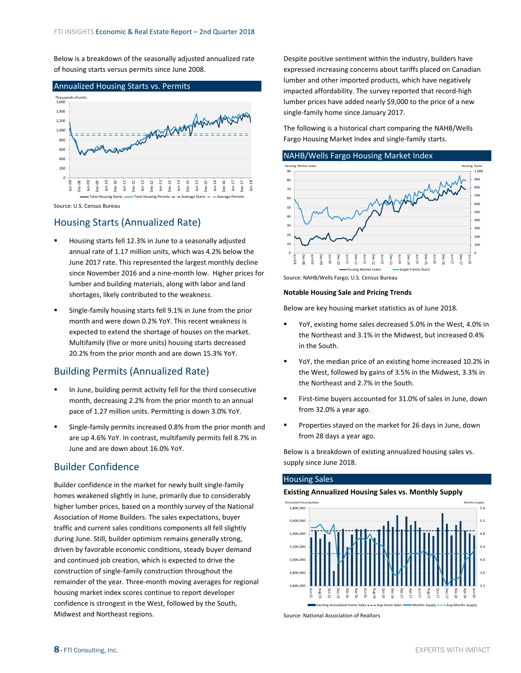Below is a breakdown of the seasonally adjusted annualized rate of housing starts versus permits since June 2008.



Source: U.S. Census Bureau

### Housing Starts (Annualized Rate)

- Housing starts fell 12.3% in June to a seasonally adjusted annual rate of 1.17 million units, which was 4.2% below the June 2017 rate. This represented the largest monthly decline since November 2016 and a nine‐month low. Higher prices for lumber and building materials, along with labor and land shortages, likely contributed to the weakness.
- Single‐family housing starts fell 9.1% in June from the prior month and were down 0.2% YoY. This recent weakness is expected to extend the shortage of houses on the market. Multifamily (five or more units) housing starts decreased 20.2% from the prior month and are down 15.3% YoY.

### Building Permits (Annualized Rate)

- In June, building permit activity fell for the third consecutive month, decreasing 2.2% from the prior month to an annual pace of 1.27 million units. Permitting is down 3.0% YoY.
- Single‐family permits increased 0.8% from the prior month and are up 4.6% YoY. In contrast, multifamily permits fell 8.7% in June and are down about 16.0% YoY.

### Builder Confidence

Builder confidence in the market for newly built single‐family homes weakened slightly in June, primarily due to considerably higher lumber prices, based on a monthly survey of the National Association of Home Builders. The sales expectations, buyer traffic and current sales conditions components all fell slightly during June. Still, builder optimism remains generally strong, driven by favorable economic conditions, steady buyer demand and continued job creation, which is expected to drive the construction of single‐family construction throughout the remainder of the year. Three‐month moving averages for regional housing market index scores continue to report developer confidence is strongest in the West, followed by the South, Midwest and Northeast regions.

Despite positive sentiment within the industry, builders have expressed increasing concerns about tariffs placed on Canadian lumber and other imported products, which have negatively impacted affordability. The survey reported that record‐high lumber prices have added nearly \$9,000 to the price of a new single‐family home since January 2017.

The following is a historical chart comparing the NAHB/Wells Fargo Housing Market Index and single‐family starts.



Source: NAHB/Wells Fargo; U.S. Census Bureau

#### **Notable Housing Sale and Pricing Trends**

Below are key housing market statistics as of June 2018.

- YoY, existing home sales decreased 5.0% in the West, 4.0% in the Northeast and 3.1% in the Midwest, but increased 0.4% in the South.
- YoY, the median price of an existing home increased 10.2% in the West, followed by gains of 3.5% in the Midwest, 3.3% in the Northeast and 2.7% in the South.
- First-time buyers accounted for 31.0% of sales in June, down from 32.0% a year ago.
- Properties stayed on the market for 26 days in June, down from 28 days a year ago.

Below is a breakdown of existing annualized housing sales vs. supply since June 2018.

#### Housing Sales

#### **Existing Annualized Housing Sales vs. Monthly Supply**



Source: National Association of Realtors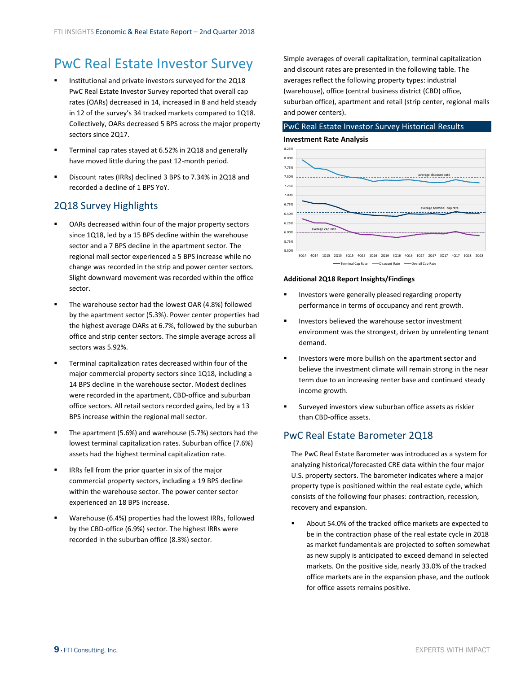## <span id="page-8-0"></span>PwC Real Estate Investor Survey

- Institutional and private investors surveyed for the 2Q18 PwC Real Estate Investor Survey reported that overall cap rates (OARs) decreased in 14, increased in 8 and held steady in 12 of the survey's 34 tracked markets compared to 1Q18. Collectively, OARs decreased 5 BPS across the major property sectors since 2Q17.
- Terminal cap rates stayed at 6.52% in 2Q18 and generally have moved little during the past 12‐month period.
- Discount rates (IRRs) declined 3 BPS to 7.34% in 2Q18 and recorded a decline of 1 BPS YoY.

### 2Q18 Survey Highlights

- OARs decreased within four of the major property sectors since 1Q18, led by a 15 BPS decline within the warehouse sector and a 7 BPS decline in the apartment sector. The regional mall sector experienced a 5 BPS increase while no change was recorded in the strip and power center sectors. Slight downward movement was recorded within the office sector.
- The warehouse sector had the lowest OAR (4.8%) followed by the apartment sector (5.3%). Power center properties had the highest average OARs at 6.7%, followed by the suburban office and strip center sectors. The simple average across all sectors was 5.92%.
- Terminal capitalization rates decreased within four of the major commercial property sectors since 1Q18, including a 14 BPS decline in the warehouse sector. Modest declines were recorded in the apartment. CBD-office and suburban office sectors. All retail sectors recorded gains, led by a 13 BPS increase within the regional mall sector.
- The apartment (5.6%) and warehouse (5.7%) sectors had the lowest terminal capitalization rates. Suburban office (7.6%) assets had the highest terminal capitalization rate.
- IRRs fell from the prior quarter in six of the major commercial property sectors, including a 19 BPS decline within the warehouse sector. The power center sector experienced an 18 BPS increase.
- Warehouse (6.4%) properties had the lowest IRRs, followed by the CBD‐office (6.9%) sector. The highest IRRs were recorded in the suburban office (8.3%) sector.

Simple averages of overall capitalization, terminal capitalization and discount rates are presented in the following table. The averages reflect the following property types: industrial (warehouse), office (central business district (CBD) office, suburban office), apartment and retail (strip center, regional malls and power centers).

## PwC Real Estate Investor Survey Historical Results

### **Investment Rate Analysis**



#### **Additional 2Q18 Report Insights/Findings**

- Investors were generally pleased regarding property performance in terms of occupancy and rent growth.
- Investors believed the warehouse sector investment environment was the strongest, driven by unrelenting tenant demand.
- Investors were more bullish on the apartment sector and believe the investment climate will remain strong in the near term due to an increasing renter base and continued steady income growth.
- Surveyed investors view suburban office assets as riskier than CBD‐office assets.

### PwC Real Estate Barometer 2Q18

The PwC Real Estate Barometer was introduced as a system for analyzing historical/forecasted CRE data within the four major U.S. property sectors. The barometer indicates where a major property type is positioned within the real estate cycle, which consists of the following four phases: contraction, recession, recovery and expansion.

 About 54.0% of the tracked office markets are expected to be in the contraction phase of the real estate cycle in 2018 as market fundamentals are projected to soften somewhat as new supply is anticipated to exceed demand in selected markets. On the positive side, nearly 33.0% of the tracked office markets are in the expansion phase, and the outlook for office assets remains positive.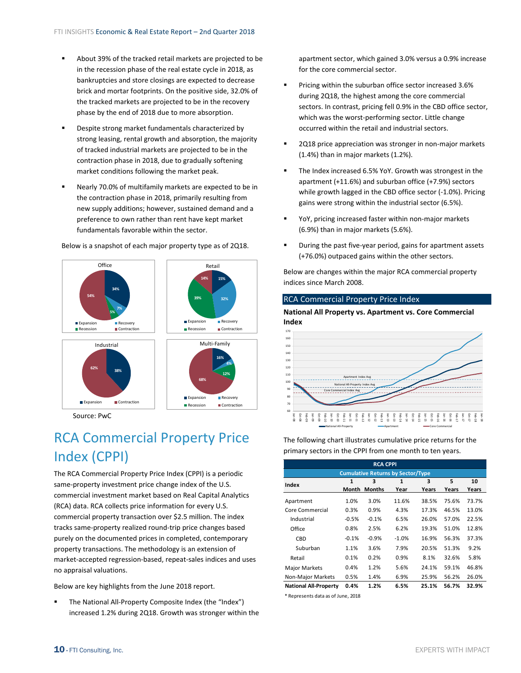- <span id="page-9-0"></span> About 39% of the tracked retail markets are projected to be in the recession phase of the real estate cycle in 2018, as bankruptcies and store closings are expected to decrease brick and mortar footprints. On the positive side, 32.0% of the tracked markets are projected to be in the recovery phase by the end of 2018 due to more absorption.
- Despite strong market fundamentals characterized by strong leasing, rental growth and absorption, the majority of tracked industrial markets are projected to be in the contraction phase in 2018, due to gradually softening market conditions following the market peak.
- Nearly 70.0% of multifamily markets are expected to be in the contraction phase in 2018, primarily resulting from new supply additions; however, sustained demand and a preference to own rather than rent have kept market fundamentals favorable within the sector.

Below is a snapshot of each major property type as of 2Q18.

**34% 5% 7% 54%** Office **Expansion** Recession Contraction Multi‐Family **15% 14%** Expansion **Recovery** Recession Contraction Retail

**38% Expansion** Contraction **62%** Industrial



## RCA Commercial Property Price Index (CPPI)

**16% 4% 12%**

**39% 32%**

**68%**

Expansion **Recovery** Recession **Contraction** 

The RCA Commercial Property Price Index (CPPI) is a periodic same-property investment price change index of the U.S. commercial investment market based on Real Capital Analytics (RCA) data. RCA collects price information for every U.S. commercial property transaction over \$2.5 million. The index tracks same‐property realized round‐trip price changes based purely on the documented prices in completed, contemporary property transactions. The methodology is an extension of market‐accepted regression‐based, repeat‐sales indices and uses no appraisal valuations.

Below are key highlights from the June 2018 report.

 The National All‐Property Composite Index (the "Index") increased 1.2% during 2Q18. Growth was stronger within the apartment sector, which gained 3.0% versus a 0.9% increase for the core commercial sector.

- Pricing within the suburban office sector increased 3.6% during 2Q18, the highest among the core commercial sectors. In contrast, pricing fell 0.9% in the CBD office sector, which was the worst-performing sector. Little change occurred within the retail and industrial sectors.
- 2Q18 price appreciation was stronger in non‐major markets (1.4%) than in major markets (1.2%).
- The Index increased 6.5% YoY. Growth was strongest in the apartment (+11.6%) and suburban office (+7.9%) sectors while growth lagged in the CBD office sector (-1.0%). Pricing gains were strong within the industrial sector (6.5%).
- YoY, pricing increased faster within non-major markets (6.9%) than in major markets (5.6%).
- During the past five‐year period, gains for apartment assets (+76.0%) outpaced gains within the other sectors.

Below are changes within the major RCA commercial property indices since March 2008.

#### RCA Commercial Property Price Index

**National All Property vs. Apartment vs. Core Commercial Index**



The following chart illustrates cumulative price returns for the primary sectors in the CPPI from one month to ten years.

| <b>RCA CPPI</b>                          |              |               |         |       |       |       |  |
|------------------------------------------|--------------|---------------|---------|-------|-------|-------|--|
| <b>Cumulative Returns by Sector/Type</b> |              |               |         |       |       |       |  |
| Index                                    | $\mathbf{1}$ | 3             | 1       | 3     | 5     | 10    |  |
|                                          | Month        | <b>Months</b> | Year    | Years | Years | Years |  |
| Apartment                                | 1.0%         | 3.0%          | 11.6%   | 38.5% | 75.6% | 73.7% |  |
| Core Commercial                          | 0.3%         | 0.9%          | 4.3%    | 17.3% | 46.5% | 13.0% |  |
| Industrial                               | $-0.5%$      | $-0.1%$       | 6.5%    | 26.0% | 57.0% | 22.5% |  |
| Office                                   | 0.8%         | 2.5%          | 6.2%    | 19.3% | 51.0% | 12.8% |  |
| CBD                                      | $-0.1%$      | $-0.9%$       | $-1.0%$ | 16.9% | 56.3% | 37.3% |  |
| Suburban                                 | 1.1%         | 3.6%          | 7.9%    | 20.5% | 51.3% | 9.2%  |  |
| Retail                                   | 0.1%         | 0.2%          | 0.9%    | 8.1%  | 32.6% | 5.8%  |  |
| <b>Major Markets</b>                     | 0.4%         | 1.2%          | 5.6%    | 24.1% | 59.1% | 46.8% |  |
| Non-Major Markets                        | 0.5%         | 1.4%          | 6.9%    | 25.9% | 56.2% | 26.0% |  |
| <b>National All-Property</b>             | 0.4%         | 1.2%          | 6.5%    | 25.1% | 56.7% | 32.9% |  |

\* Represents data as of June, 2018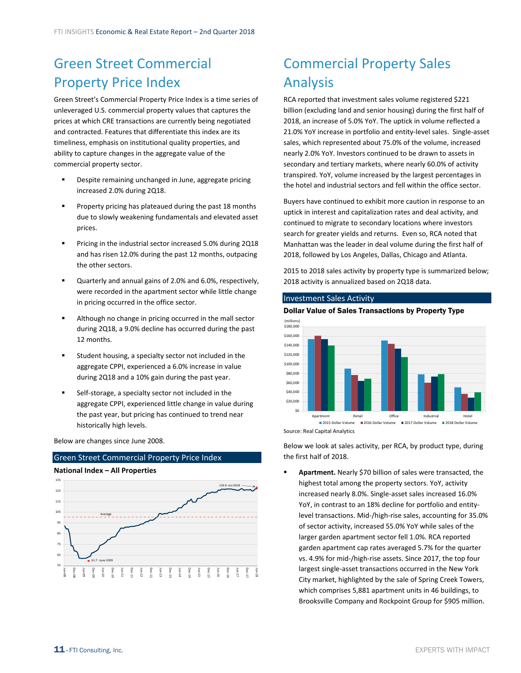## <span id="page-10-0"></span>Green Street Commercial Property Price Index

Green Street's Commercial Property Price Index is a time series of unleveraged U.S. commercial property values that captures the prices at which CRE transactions are currently being negotiated and contracted. Features that differentiate this index are its timeliness, emphasis on institutional quality properties, and ability to capture changes in the aggregate value of the commercial property sector.

- Despite remaining unchanged in June, aggregate pricing increased 2.0% during 2Q18.
- Property pricing has plateaued during the past 18 months due to slowly weakening fundamentals and elevated asset prices.
- Pricing in the industrial sector increased 5.0% during 2Q18 and has risen 12.0% during the past 12 months, outpacing the other sectors.
- Quarterly and annual gains of 2.0% and 6.0%, respectively, were recorded in the apartment sector while little change in pricing occurred in the office sector.
- Although no change in pricing occurred in the mall sector during 2Q18, a 9.0% decline has occurred during the past 12 months.
- Student housing, a specialty sector not included in the aggregate CPPI, experienced a 6.0% increase in value during 2Q18 and a 10% gain during the past year.
- Self‐storage, a specialty sector not included in the aggregate CPPI, experienced little change in value during the past year, but pricing has continued to trend near historically high levels.

Below are changes since June 2008.



## Commercial Property Sales Analysis

RCA reported that investment sales volume registered \$221 billion (excluding land and senior housing) during the first half of 2018, an increase of 5.0% YoY. The uptick in volume reflected a 21.0% YoY increase in portfolio and entity‐level sales. Single‐asset sales, which represented about 75.0% of the volume, increased nearly 2.0% YoY. Investors continued to be drawn to assets in secondary and tertiary markets, where nearly 60.0% of activity transpired. YoY, volume increased by the largest percentages in the hotel and industrial sectors and fell within the office sector.

Buyers have continued to exhibit more caution in response to an uptick in interest and capitalization rates and deal activity, and continued to migrate to secondary locations where investors search for greater yields and returns. Even so, RCA noted that Manhattan was the leader in deal volume during the first half of 2018, followed by Los Angeles, Dallas, Chicago and Atlanta.

2015 to 2018 sales activity by property type is summarized below; 2018 activity is annualized based on 2Q18 data.

#### Investment Sales Activity





Source: Real Capital Analytics

Below we look at sales activity, per RCA, by product type, during the first half of 2018.

 **Apartment.** Nearly \$70 billion of sales were transacted, the highest total among the property sectors. YoY, activity increased nearly 8.0%. Single‐asset sales increased 16.0% YoY, in contrast to an 18% decline for portfolio and entity‐ level transactions. Mid‐/high‐rise sales, accounting for 35.0% of sector activity, increased 55.0% YoY while sales of the larger garden apartment sector fell 1.0%. RCA reported garden apartment cap rates averaged 5.7% for the quarter vs. 4.9% for mid‐/high‐rise assets. Since 2017, the top four largest single‐asset transactions occurred in the New York City market, highlighted by the sale of Spring Creek Towers, which comprises 5,881 apartment units in 46 buildings, to Brooksville Company and Rockpoint Group for \$905 million.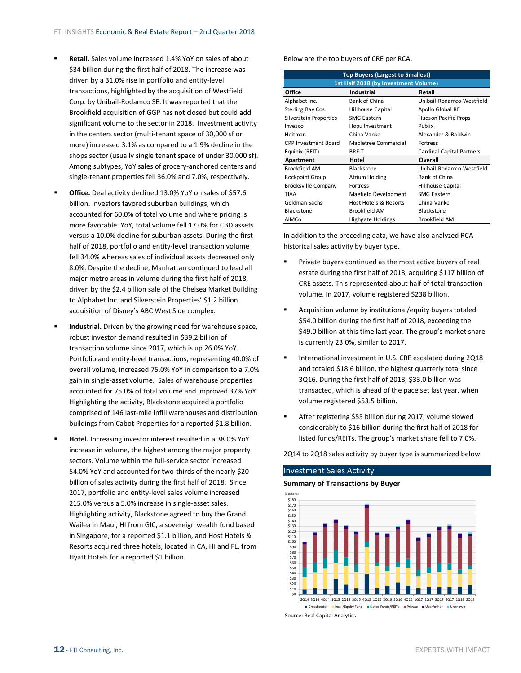- **Retail.** Sales volume increased 1.4% YoY on sales of about \$34 billion during the first half of 2018. The increase was driven by a 31.0% rise in portfolio and entity‐level transactions, highlighted by the acquisition of Westfield Corp. by Unibail‐Rodamco SE. It was reported that the Brookfield acquisition of GGP has not closed but could add significant volume to the sector in 2018. Investment activity in the centers sector (multi‐tenant space of 30,000 sf or more) increased 3.1% as compared to a 1.9% decline in the shops sector (usually single tenant space of under 30,000 sf). Among subtypes, YoY sales of grocery‐anchored centers and single‐tenant properties fell 36.0% and 7.0%, respectively.
- **Office.** Deal activity declined 13.0% YoY on sales of \$57.6 billion. Investors favored suburban buildings, which accounted for 60.0% of total volume and where pricing is more favorable. YoY, total volume fell 17.0% for CBD assets versus a 10.0% decline for suburban assets. During the first half of 2018, portfolio and entity-level transaction volume fell 34.0% whereas sales of individual assets decreased only 8.0%. Despite the decline, Manhattan continued to lead all major metro areas in volume during the first half of 2018, driven by the \$2.4 billion sale of the Chelsea Market Building to Alphabet Inc. and Silverstein Properties' \$1.2 billion acquisition of Disney's ABC West Side complex.
- **Industrial.** Driven by the growing need for warehouse space, robust investor demand resulted in \$39.2 billion of transaction volume since 2017, which is up 26.0% YoY. Portfolio and entity‐level transactions, representing 40.0% of overall volume, increased 75.0% YoY in comparison to a 7.0% gain in single‐asset volume. Sales of warehouse properties accounted for 75.0% of total volume and improved 37% YoY. Highlighting the activity, Blackstone acquired a portfolio comprised of 146 last‐mile infill warehouses and distribution buildings from Cabot Properties for a reported \$1.8 billion.
- **Hotel.** Increasing investor interest resulted in a 38.0% YoY increase in volume, the highest among the major property sectors. Volume within the full‐service sector increased 54.0% YoY and accounted for two-thirds of the nearly \$20 billion of sales activity during the first half of 2018. Since 2017, portfolio and entity‐level sales volume increased 215.0% versus a 5.0% increase in single‐asset sales. Highlighting activity, Blackstone agreed to buy the Grand Wailea in Maui, HI from GIC, a sovereign wealth fund based in Singapore, for a reported \$1.1 billion, and Host Hotels & Resorts acquired three hotels, located in CA, HI and FL, from Hyatt Hotels for a reported \$1 billion.

Below are the top buyers of CRE per RCA.

| <b>Top Buyers (Largest to Smallest)</b> |                                      |                             |  |  |  |  |  |
|-----------------------------------------|--------------------------------------|-----------------------------|--|--|--|--|--|
|                                         | 1st Half 2018 (by Investment Volume) |                             |  |  |  |  |  |
| Office                                  | <b>Industrial</b>                    | Retail                      |  |  |  |  |  |
| Alphabet Inc.                           | Bank of China                        | Unibail-Rodamco-Westfield   |  |  |  |  |  |
| Sterling Bay Cos.                       | Hillhouse Capital                    | Apollo Global RE            |  |  |  |  |  |
| Silverstein Properties                  | <b>SMG Eastern</b>                   | <b>Hudson Pacific Props</b> |  |  |  |  |  |
| Invesco                                 | Hopu Investment                      | Publix                      |  |  |  |  |  |
| Heitman                                 | China Vanke                          | Alexander & Baldwin         |  |  |  |  |  |
| <b>CPP Investment Board</b>             | Mapletree Commercial                 | <b>Fortress</b>             |  |  |  |  |  |
| Equinix (REIT)                          | BREIT                                | Cardinal Capital Partners   |  |  |  |  |  |
| Apartment                               | Hotel                                | Overall                     |  |  |  |  |  |
| Brookfield AM                           | <b>Blackstone</b>                    | Unibail-Rodamco-Westfield   |  |  |  |  |  |
| Rockpoint Group                         | Atrium Holding                       | <b>Bank of China</b>        |  |  |  |  |  |
| <b>Brooksville Company</b>              | <b>Fortress</b>                      | Hillhouse Capital           |  |  |  |  |  |
| TIAA                                    | Maefield Development                 | <b>SMG Eastern</b>          |  |  |  |  |  |
| Goldman Sachs                           | Host Hotels & Resorts                | China Vanke                 |  |  |  |  |  |
| <b>Blackstone</b>                       | Brookfield AM                        | <b>Blackstone</b>           |  |  |  |  |  |
| AIMCo                                   | Highgate Holdings                    | <b>Brookfield AM</b>        |  |  |  |  |  |

In addition to the preceding data, we have also analyzed RCA historical sales activity by buyer type.

- Private buyers continued as the most active buyers of real estate during the first half of 2018, acquiring \$117 billion of CRE assets. This represented about half of total transaction volume. In 2017, volume registered \$238 billion.
- Acquisition volume by institutional/equity buyers totaled \$54.0 billion during the first half of 2018, exceeding the \$49.0 billion at this time last year. The group's market share is currently 23.0%, similar to 2017.
- International investment in U.S. CRE escalated during 2Q18 and totaled \$18.6 billion, the highest quarterly total since 3Q16. During the first half of 2018, \$33.0 billion was transacted, which is ahead of the pace set last year, when volume registered \$53.5 billion.
- After registering \$55 billion during 2017, volume slowed considerably to \$16 billion during the first half of 2018 for listed funds/REITs. The group's market share fell to 7.0%.

2Q14 to 2Q18 sales activity by buyer type is summarized below.

#### Investment Sales Activity

#### **Summary of Transactions by Buyer**

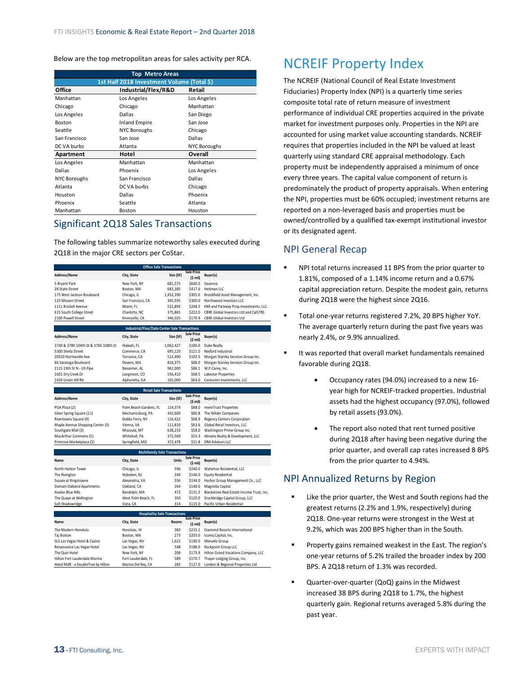#### <span id="page-12-0"></span>Below are the top metropolitan areas for sales activity per RCA.

| <b>Top Metro Areas</b> |                                            |                     |  |  |  |  |
|------------------------|--------------------------------------------|---------------------|--|--|--|--|
|                        | 1st Half 2018 Investment Volume (Total \$) |                     |  |  |  |  |
| Office                 | Industrial/Flex/R&D                        | Retail              |  |  |  |  |
| Manhattan              | Los Angeles                                | Los Angeles         |  |  |  |  |
| Chicago                | Chicago                                    | Manhattan           |  |  |  |  |
| Los Angeles            | Dallas                                     | San Diego           |  |  |  |  |
| <b>Boston</b>          | <b>Inland Empire</b>                       | San Jose            |  |  |  |  |
| Seattle                | <b>NYC Boroughs</b>                        | Chicago             |  |  |  |  |
| San Francisco          | San Jose                                   | <b>Dallas</b>       |  |  |  |  |
| DC VA burbs            | Atlanta                                    | <b>NYC Boroughs</b> |  |  |  |  |
| Apartment              | Hotel                                      | Overall             |  |  |  |  |
| Los Angeles            | Manhattan                                  | Manhattan           |  |  |  |  |
| Dallas                 | Phoenix                                    | Los Angeles         |  |  |  |  |
| <b>NYC Boroughs</b>    | San Francisco                              | <b>Dallas</b>       |  |  |  |  |
| Atlanta                | DC VA burbs                                | Chicago             |  |  |  |  |
| Houston                | Dallas                                     | Phoenix             |  |  |  |  |
| Phoenix                | Seattle                                    | Atlanta             |  |  |  |  |
| Manhattan              | Boston                                     | Houston             |  |  |  |  |

## Significant 2Q18 Sales Transactions

The following tables summarize noteworthy sales executed during 2Q18 in the major CRE sectors per CoStar.

|                                      |                                                      | <b>Office Sale Transactions</b> |                                |                                           |
|--------------------------------------|------------------------------------------------------|---------------------------------|--------------------------------|-------------------------------------------|
| Address/Name                         | City, State                                          | Size (SF)                       | <b>Sale Price</b><br>$(S$ mil) | Buyer(s)                                  |
| 5 Bryant Park                        | New York, NY                                         | 681,575                         | \$640.0                        | Savanna                                   |
| 28 State Street                      | Boston, MA                                           | 682,385                         | \$417.6                        | Heitman LLC                               |
| 175 West Jackson Boulevard           | Chicago, IL                                          | 1,452,390                       | \$305.0                        | Brookfield Asset Management, Inc.         |
| 123 Mission Street                   | San Francisco, CA                                    | 345,595                         | \$300.0                        | Northwood Investors LLC                   |
| 1111 Brickell Avenue                 | Miami, FL                                            | 522,892                         | \$248.5                        | KKR and Parkway Prop. Investments, LLC    |
| 615 South College Street             | Charlotte, NC                                        | 375,865                         | \$222.0                        | CBRE Global Investors Ltd and CalSTRS     |
| 2100 Powell Street                   | Emeryville, CA                                       | 346,025                         | \$170.9                        | <b>CBRE Global Investors Ltd</b>          |
|                                      | <b>Industrial/Flex/Data Center Sale Transactions</b> |                                 |                                |                                           |
| Address/Name                         | City, State                                          | Size (SF)                       | <b>Sale Price</b>              | Buyer(s)                                  |
|                                      |                                                      |                                 | $(5 \text{ mil})$              |                                           |
| 3740 & 3780 104th St & 3760 108th St | Hialeah, FL                                          | 1,062,427                       | \$180.0                        | <b>Duke Realty</b>                        |
| 5300 Sheila Street                   | Commerce, CA                                         | 695,120                         | \$121.0                        | Rexford Industrial                        |
| 20333 Normandie Ave                  | Torrance, CA                                         | 512,490                         | \$102.5                        | Morgan Stanley Services Group Inc.        |
| 66 Saratoga Boulevard                | Devens, MA                                           | 816,375                         | \$88.0                         | Morgan Stanley Services Group Inc.        |
| 2115 19th St N - US Pipe             | Bessemer, AL                                         | 962,000                         | \$86.1                         | W.P.Carey, Inc.                           |
| 1601 Dry Creek Dr                    | Longmont, CO                                         | 556,410                         | \$68.5                         | Lakestar Properties                       |
| 1650 Union Hill Rd                   | Alpharetta, GA                                       | 165,000                         | \$64.0                         | Centurion Investments, LLC                |
|                                      |                                                      | <b>Retail Sale Transactions</b> |                                |                                           |
| Address/Name                         | City, State                                          | Size (SF)                       | <b>Sale Price</b>              | Buyer(s)                                  |
|                                      |                                                      |                                 | $(5 \text{ mil})$              |                                           |
| PGA Plaza (2)                        | Palm Beach Gardens, FL                               | 114,374                         | \$88.0                         | <b>InvenTrust Properties</b>              |
| Silver Spring Square (11)            | Mechanicsburg, PA                                    | 342,600                         | \$80.8                         | The Wilder Companies                      |
| Rivertowns Square (9)                | Dobbs Ferry, NY                                      | 116,422                         | \$68.9                         | Regency Centers Corporation               |
| Maple Avenue Shopping Center (3)     | Vienna, VA                                           | 111,810                         | \$63.6                         | Global Retail Investors, LLC              |
| Southgate Mall (3)                   | Missoula, MT                                         | 638,233                         | \$58.0                         | Washington Prime Group Inc.               |
| MacArthur Commons (5)                | Whitehall, PA                                        | 372,569                         | \$55.3                         | Abrams Realty & Development, LLC          |
| Primrose Marketplace (2)             | Springfield, MO                                      | 372,478                         | \$51.8                         | <b>DRA Advisors LLC</b>                   |
|                                      | <b>Multifamily Sale Transactions</b>                 |                                 |                                |                                           |
| Name                                 |                                                      | <b>Units</b>                    | <b>Sale Price</b>              |                                           |
|                                      | City, State                                          |                                 | $(5 \text{ mil})$              | Buyer(s)                                  |
| North Harbor Tower                   | Chicago, IL                                          | 596                             | \$240.0                        | Waterton Residential, LLC                 |
| The Rivington                        | Hoboken, NJ                                          | 240                             | \$146.0                        | <b>Equity Residential</b>                 |
| Sussex at Kingstowne                 | Alexandria, VA                                       | 556                             | \$144.0                        | Harbor Group Management Co., LLC          |
| Domain Oakland Apartments            | Oakland, CA                                          | 264                             | \$140.0                        | Magnolia Capital                          |
| <b>Avalon Blue Hills</b>             | Randolph, MA                                         | 472                             | \$131.3                        | Blackstone Real Estate Income Trust, Inc. |
| The Quaye at Wellington              | West Palm Beach, FL                                  | 350                             | \$120.0                        | Stockbridge Capital Group, LLC            |
| Sofi Shadowridge                     | Vista, CA                                            | 314                             | \$115.0                        | Pacific Urban Residential                 |
|                                      | <b>Hospitality Sale Transactions</b>                 |                                 |                                |                                           |
| Name                                 | City, State                                          | Rooms                           | <b>Sale Price</b>              | Buyer(s)                                  |
|                                      |                                                      |                                 | $(5 \text{ mil})$              |                                           |
| The Modern Honolulu                  | Honolulu, HI                                         | 360<br>273                      | \$215.1<br>\$203.0             | Diamond Resorts International             |
| Taj Boston                           | Boston, MA                                           |                                 |                                | Iconiq Capital, Inc.                      |
| SLS Las Vegas Hotel & Casino         | Las Vegas, NV                                        | 1,622                           | \$190.0                        | Meruelo Group                             |
| Renaissance Las Vegas Hotel          | Las Vegas, NV                                        | 548                             | \$188.0                        | Rockpoint Group LLC                       |
| The Quin Hotel                       | New York, NY                                         | 208                             | \$173.9                        | Hilton Grand Vacations Company, LLC       |
| Hilton Fort Lauderdale Marina        | Fort Lauderdale, FL                                  | 589                             | \$170.7                        | Thayer Lodging Group, Inc.                |
| Hotel MdR - a DoubleTree by Hilton   | Marina Del Rey, CA                                   | 283                             | \$127.0                        | London & Regional Properties Ltd          |

## NCREIF Property Index

The NCREIF (National Council of Real Estate Investment Fiduciaries) Property Index (NPI) is a quarterly time series composite total rate of return measure of investment performance of individual CRE properties acquired in the private market for investment purposes only. Properties in the NPI are accounted for using market value accounting standards. NCREIF requires that properties included in the NPI be valued at least quarterly using standard CRE appraisal methodology. Each property must be independently appraised a minimum of once every three years. The capital value component of return is predominately the product of property appraisals. When entering the NPI, properties must be 60% occupied; investment returns are reported on a non‐leveraged basis and properties must be owned/controlled by a qualified tax‐exempt institutional investor or its designated agent.

### NPI General Recap

- NPI total returns increased 11 BPS from the prior quarter to 1.81%, composed of a 1.14% income return and a 0.67% capital appreciation return. Despite the modest gain, returns during 2Q18 were the highest since 2Q16.
- Total one‐year returns registered 7.2%, 20 BPS higher YoY. The average quarterly return during the past five years was nearly 2.4%, or 9.9% annualized.
- It was reported that overall market fundamentals remained favorable during 2Q18.
	- Occupancy rates (94.0%) increased to a new 16‐ year high for NCREIF‐tracked properties. Industrial assets had the highest occupancy (97.0%), followed by retail assets (93.0%).
	- The report also noted that rent turned positive during 2Q18 after having been negative during the prior quarter, and overall cap rates increased 8 BPS from the prior quarter to 4.94%.

### NPI Annualized Returns by Region

- Like the prior quarter, the West and South regions had the greatest returns (2.2% and 1.9%, respectively) during 2Q18. One‐year returns were strongest in the West at 9.2%, which was 200 BPS higher than in the South.
- Property gains remained weakest in the East. The region's one‐year returns of 5.2% trailed the broader index by 200 BPS. A 2Q18 return of 1.3% was recorded.
- Quarter‐over‐quarter (QoQ) gains in the Midwest increased 38 BPS during 2Q18 to 1.7%, the highest quarterly gain. Regional returns averaged 5.8% during the past year.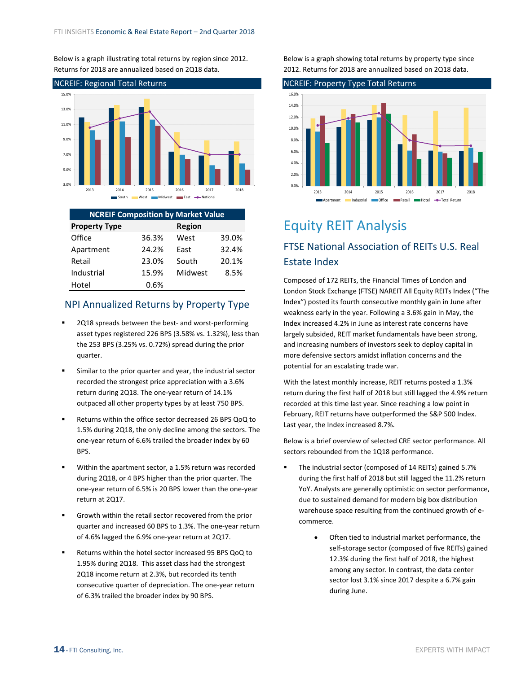<span id="page-13-0"></span>Below is a graph illustrating total returns by region since 2012. Returns for 2018 are annualized based on 2Q18 data.



| <b>NCREIF Composition by Market Value</b> |       |               |       |  |  |  |
|-------------------------------------------|-------|---------------|-------|--|--|--|
| <b>Property Type</b>                      |       | <b>Region</b> |       |  |  |  |
| Office                                    | 36.3% | West          | 39.0% |  |  |  |
| Apartment                                 | 24.2% | Fast          | 32.4% |  |  |  |
| Retail                                    | 23.0% | South         | 20.1% |  |  |  |
| Industrial                                | 15.9% | Midwest       | 8.5%  |  |  |  |
| Hotel                                     | 0.6%  |               |       |  |  |  |

### NPI Annualized Returns by Property Type

- 2Q18 spreads between the best‐ and worst‐performing asset types registered 226 BPS (3.58% vs. 1.32%), less than the 253 BPS (3.25% vs. 0.72%) spread during the prior quarter.
- Similar to the prior quarter and year, the industrial sector recorded the strongest price appreciation with a 3.6% return during 2Q18. The one‐year return of 14.1% outpaced all other property types by at least 750 BPS.
- Returns within the office sector decreased 26 BPS QoQ to 1.5% during 2Q18, the only decline among the sectors. The one‐year return of 6.6% trailed the broader index by 60 BPS.
- Within the apartment sector, a 1.5% return was recorded during 2Q18, or 4 BPS higher than the prior quarter. The one‐year return of 6.5% is 20 BPS lower than the one‐year return at 2Q17.
- Growth within the retail sector recovered from the prior quarter and increased 60 BPS to 1.3%. The one‐year return of 4.6% lagged the 6.9% one‐year return at 2Q17.
- Returns within the hotel sector increased 95 BPS QoQ to 1.95% during 2Q18. This asset class had the strongest 2Q18 income return at 2.3%, but recorded its tenth consecutive quarter of depreciation. The one‐year return of 6.3% trailed the broader index by 90 BPS.

Below is a graph showing total returns by property type since 2012. Returns for 2018 are annualized based on 2Q18 data.



# Equity REIT Analysis

## FTSE National Association of REITs U.S. Real Estate Index

Composed of 172 REITs, the Financial Times of London and London Stock Exchange (FTSE) NAREIT All Equity REITs Index ("The Index") posted its fourth consecutive monthly gain in June after weakness early in the year. Following a 3.6% gain in May, the Index increased 4.2% in June as interest rate concerns have largely subsided, REIT market fundamentals have been strong, and increasing numbers of investors seek to deploy capital in more defensive sectors amidst inflation concerns and the potential for an escalating trade war.

With the latest monthly increase, REIT returns posted a 1.3% return during the first half of 2018 but still lagged the 4.9% return recorded at this time last year. Since reaching a low point in February, REIT returns have outperformed the S&P 500 Index. Last year, the Index increased 8.7%.

Below is a brief overview of selected CRE sector performance. All sectors rebounded from the 1Q18 performance.

- The industrial sector (composed of 14 REITs) gained 5.7% during the first half of 2018 but still lagged the 11.2% return YoY. Analysts are generally optimistic on sector performance, due to sustained demand for modern big box distribution warehouse space resulting from the continued growth of e‐ commerce.
	- Often tied to industrial market performance, the self-storage sector (composed of five REITs) gained 12.3% during the first half of 2018, the highest among any sector. In contrast, the data center sector lost 3.1% since 2017 despite a 6.7% gain during June.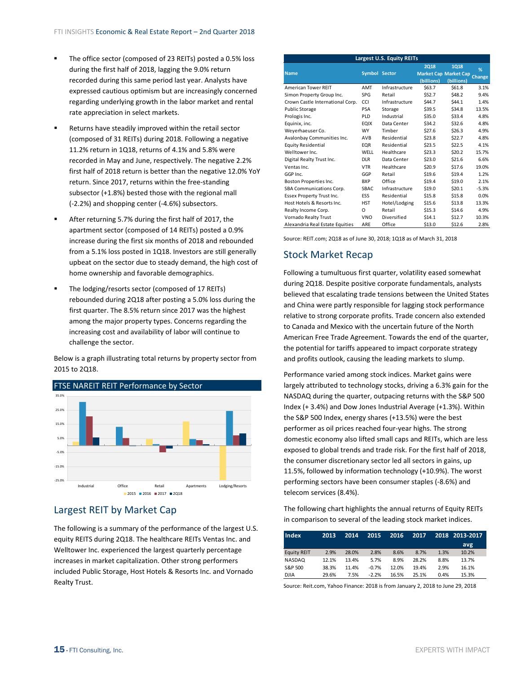- <span id="page-14-0"></span> The office sector (composed of 23 REITs) posted a 0.5% loss during the first half of 2018, lagging the 9.0% return recorded during this same period last year. Analysts have expressed cautious optimism but are increasingly concerned regarding underlying growth in the labor market and rental rate appreciation in select markets.
- Returns have steadily improved within the retail sector (composed of 31 REITs) during 2018. Following a negative 11.2% return in 1Q18, returns of 4.1% and 5.8% were recorded in May and June, respectively. The negative 2.2% first half of 2018 return is better than the negative 12.0% YoY return. Since 2017, returns within the free‐standing subsector (+1.8%) bested those with the regional mall (‐2.2%) and shopping center (‐4.6%) subsectors.
- After returning 5.7% during the first half of 2017, the apartment sector (composed of 14 REITs) posted a 0.9% increase during the first six months of 2018 and rebounded from a 5.1% loss posted in 1Q18. Investors are still generally upbeat on the sector due to steady demand, the high cost of home ownership and favorable demographics.
- The lodging/resorts sector (composed of 17 REITs) rebounded during 2Q18 after posting a 5.0% loss during the first quarter. The 8.5% return since 2017 was the highest among the major property types. Concerns regarding the increasing cost and availability of labor will continue to challenge the sector.

Below is a graph illustrating total returns by property sector from 2015 to 2Q18.



## Largest REIT by Market Cap

The following is a summary of the performance of the largest U.S. equity REITS during 2Q18. The healthcare REITs Ventas Inc. and Welltower Inc. experienced the largest quarterly percentage increases in market capitalization. Other strong performers included Public Storage, Host Hotels & Resorts Inc. and Vornado Realty Trust.

| <b>Largest U.S. Equity REITs</b> |               |                |                    |                                                    |             |  |  |
|----------------------------------|---------------|----------------|--------------------|----------------------------------------------------|-------------|--|--|
| <b>Name</b>                      | Symbol Sector |                | 2018<br>(billions) | 1018<br><b>Market Cap Market Cap</b><br>(billions) | %<br>Change |  |  |
| <b>American Tower REIT</b>       | AMT           | Infrastructure | \$63.7             | \$61.8                                             | 3.1%        |  |  |
| Simon Property Group Inc.        | <b>SPG</b>    | Retail         | \$52.7             | \$48.2                                             | 9.4%        |  |  |
| Crown Castle International Corp. | CCI.          | Infrastructure | \$44.7             | \$44.1                                             | 1.4%        |  |  |
| <b>Public Storage</b>            | <b>PSA</b>    | Storage        | \$39.5             | \$34.8                                             | 13.5%       |  |  |
| Prologis Inc.                    | PLD           | Industrial     | \$35.0             | \$33.4                                             | 4.8%        |  |  |
| Equinix, inc.                    | <b>EQIX</b>   | Data Center    | \$34.2             | \$32.6                                             | 4.8%        |  |  |
| Weyerhaeuser Co.                 | <b>WY</b>     | Timber         | \$27.6             | \$26.3                                             | 4.9%        |  |  |
| Avalonbay Communities Inc.       | AVB           | Residential    | \$23.8             | \$22.7                                             | 4.8%        |  |  |
| <b>Equity Residential</b>        | <b>EQR</b>    | Residential    | \$23.5             | \$22.5                                             | 4.1%        |  |  |
| Welltower Inc.                   | WFLL          | Healthcare     | \$23.3             | \$20.2                                             | 15.7%       |  |  |
| Digital Realty Trust Inc.        | <b>DLR</b>    | Data Center    | \$23.0             | \$21.6                                             | 6.6%        |  |  |
| Ventas Inc.                      | <b>VTR</b>    | Healthcare     | \$20.9             | \$17.6                                             | 19.0%       |  |  |
| GGP Inc.                         | GGP           | Retail         | \$19.6             | \$19.4                                             | 1.2%        |  |  |
| Boston Properties Inc.           | <b>BXP</b>    | Office         | \$19.4             | \$19.0                                             | 2.1%        |  |  |
| SBA Communications Corp.         | SBAC          | Infrastructure | \$19.0             | \$20.1                                             | $-5.3%$     |  |  |
| Essex Property Trust Inc.        | ESS           | Residential    | \$15.8             | \$15.8                                             | 0.0%        |  |  |
| Host Hotels & Resorts Inc.       | <b>HST</b>    | Hotel/Lodging  | \$15.6             | \$13.8                                             | 13.3%       |  |  |
| Realty Income Corp.              | O             | Retail         | \$15.3             | \$14.6                                             | 4.9%        |  |  |
| Vornado Realty Trust             | <b>VNO</b>    | Diversified    | \$14.1             | \$12.7                                             | 10.3%       |  |  |
| Alexandria Real Estate Equities  | ARE           | Office         | \$13.0             | \$12.6                                             | 2.8%        |  |  |

Source: REIT.com; 2Q18 as of June 30, 2018; 1Q18 as of March 31, 2018

### Stock Market Recap

Following a tumultuous first quarter, volatility eased somewhat during 2Q18. Despite positive corporate fundamentals, analysts believed that escalating trade tensions between the United States and China were partly responsible for lagging stock performance relative to strong corporate profits. Trade concern also extended to Canada and Mexico with the uncertain future of the North American Free Trade Agreement. Towards the end of the quarter, the potential for tariffs appeared to impact corporate strategy and profits outlook, causing the leading markets to slump.

Performance varied among stock indices. Market gains were largely attributed to technology stocks, driving a 6.3% gain for the NASDAQ during the quarter, outpacing returns with the S&P 500 Index (+ 3.4%) and Dow Jones Industrial Average (+1.3%). Within the S&P 500 Index, energy shares (+13.5%) were the best performer as oil prices reached four‐year highs. The strong domestic economy also lifted small caps and REITs, which are less exposed to global trends and trade risk. For the first half of 2018, the consumer discretionary sector led all sectors in gains, up 11.5%, followed by information technology (+10.9%). The worst performing sectors have been consumer staples (‐8.6%) and telecom services (8.4%).

The following chart highlights the annual returns of Equity REITs in comparison to several of the leading stock market indices.

| <b>Index</b>       | 2013  | 2014  | 2015    | 2016  | 2017  |      | 2018 2013-2017 |
|--------------------|-------|-------|---------|-------|-------|------|----------------|
|                    |       |       |         |       |       |      | avg            |
| <b>Equity REIT</b> | 2.9%  | 28.0% | 2.8%    | 8.6%  | 8.7%  | 1.3% | 10.2%          |
| NASDAQ             | 12.1% | 13.4% | 5.7%    | 8.9%  | 28.2% | 8.8% | 13.7%          |
| S&P 500            | 38.3% | 11.4% | $-0.7%$ | 12.0% | 19.4% | 2.9% | 16.1%          |
| DJIA               | 29.6% | 7.5%  | $-2.2%$ | 16.5% | 25.1% | 0.4% | 15.3%          |

Source: Reit.com, Yahoo Finance: 2018 is from January 2, 2018 to June 29, 2018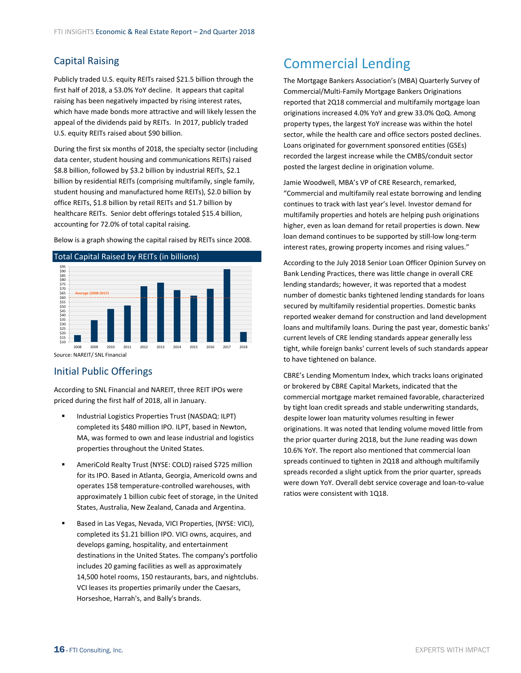## <span id="page-15-0"></span>Capital Raising

Publicly traded U.S. equity REITs raised \$21.5 billion through the first half of 2018, a 53.0% YoY decline. It appears that capital raising has been negatively impacted by rising interest rates, which have made bonds more attractive and will likely lessen the appeal of the dividends paid by REITs. In 2017, publicly traded U.S. equity REITs raised about \$90 billion.

During the first six months of 2018, the specialty sector (including data center, student housing and communications REITs) raised \$8.8 billion, followed by \$3.2 billion by industrial REITs, \$2.1 billion by residential REITs (comprising multifamily, single family, student housing and manufactured home REITs), \$2.0 billion by office REITs, \$1.8 billion by retail REITs and \$1.7 billion by healthcare REITs. Senior debt offerings totaled \$15.4 billion, accounting for 72.0% of total capital raising.

Below is a graph showing the capital raised by REITs since 2008.



Source: NAREIT/ SNL Financial

## Initial Public Offerings

According to SNL Financial and NAREIT, three REIT IPOs were priced during the first half of 2018, all in January.

- Industrial Logistics Properties Trust (NASDAQ: ILPT) completed its \$480 million IPO. ILPT, based in Newton, MA, was formed to own and lease industrial and logistics properties throughout the United States.
- AmeriCold Realty Trust (NYSE: COLD) raised \$725 million for its IPO. Based in Atlanta, Georgia, Americold owns and operates 158 temperature‐controlled warehouses, with approximately 1 billion cubic feet of storage, in the United States, Australia, New Zealand, Canada and Argentina.
- Based in Las Vegas, Nevada, VICI Properties, (NYSE: VICI), completed its \$1.21 billion IPO. VICI owns, acquires, and develops gaming, hospitality, and entertainment destinations in the United States. The company's portfolio includes 20 gaming facilities as well as approximately 14,500 hotel rooms, 150 restaurants, bars, and nightclubs. VCI leases its properties primarily under the Caesars, Horseshoe, Harrah's, and Bally's brands.

## Commercial Lending

The Mortgage Bankers Association's (MBA) Quarterly Survey of Commercial/Multi‐Family Mortgage Bankers Originations reported that 2Q18 commercial and multifamily mortgage loan originations increased 4.0% YoY and grew 33.0% QoQ. Among property types, the largest YoY increase was within the hotel sector, while the health care and office sectors posted declines. Loans originated for government sponsored entities (GSEs) recorded the largest increase while the CMBS/conduit sector posted the largest decline in origination volume.

Jamie Woodwell, MBA's VP of CRE Research, remarked, "Commercial and multifamily real estate borrowing and lending continues to track with last year's level. Investor demand for multifamily properties and hotels are helping push originations higher, even as loan demand for retail properties is down. New loan demand continues to be supported by still‐low long‐term interest rates, growing property incomes and rising values."

According to the July 2018 Senior Loan Officer Opinion Survey on Bank Lending Practices, there was little change in overall CRE lending standards; however, it was reported that a modest number of domestic banks tightened lending standards for loans secured by multifamily residential properties. Domestic banks reported weaker demand for construction and land development loans and multifamily loans. During the past year, domestic banks' current levels of CRE lending standards appear generally less tight, while foreign banks' current levels of such standards appear to have tightened on balance.

CBRE's Lending Momentum Index, which tracks loans originated or brokered by CBRE Capital Markets, indicated that the commercial mortgage market remained favorable, characterized by tight loan credit spreads and stable underwriting standards, despite lower loan maturity volumes resulting in fewer originations. It was noted that lending volume moved little from the prior quarter during 2Q18, but the June reading was down 10.6% YoY. The report also mentioned that commercial loan spreads continued to tighten in 2Q18 and although multifamily spreads recorded a slight uptick from the prior quarter, spreads were down YoY. Overall debt service coverage and loan‐to‐value ratios were consistent with 1Q18.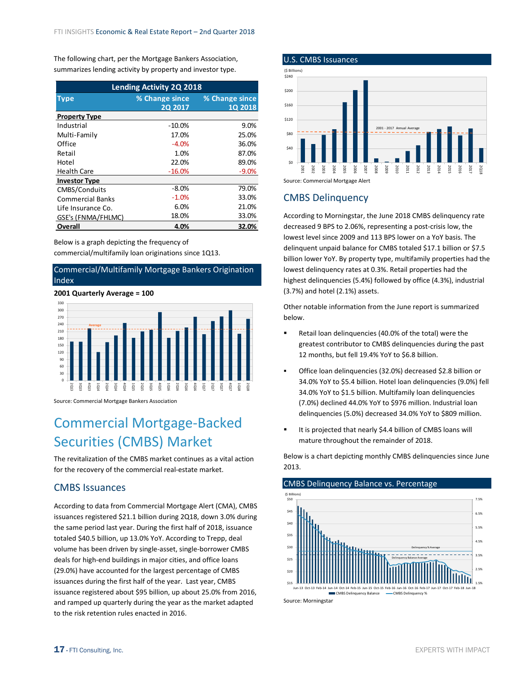<span id="page-16-0"></span>The following chart, per the Mortgage Bankers Association, summarizes lending activity by property and investor type.

| <b>Lending Activity 2Q 2018</b> |                |                |  |  |  |  |
|---------------------------------|----------------|----------------|--|--|--|--|
| <b>Type</b>                     | % Change since | % Change since |  |  |  |  |
|                                 | 20 2017        | 10 2018        |  |  |  |  |
| <b>Property Type</b>            |                |                |  |  |  |  |
| Industrial                      | $-10.0%$       | 9.0%           |  |  |  |  |
| Multi-Family                    | 17.0%          | 25.0%          |  |  |  |  |
| Office                          | $-4.0%$        | 36.0%          |  |  |  |  |
| Retail                          | 1.0%           | 87.0%          |  |  |  |  |
| Hotel                           | 22.0%          | 89.0%          |  |  |  |  |
| <b>Health Care</b>              | $-16.0%$       | $-9.0%$        |  |  |  |  |
| <b>Investor Type</b>            |                |                |  |  |  |  |
| CMBS/Conduits                   | $-8.0%$        | 79.0%          |  |  |  |  |
| <b>Commercial Banks</b>         | $-1.0%$        | 33.0%          |  |  |  |  |
| Life Insurance Co.              | 6.0%           | 21.0%          |  |  |  |  |
| GSE's (FNMA/FHLMC)              | 18.0%          | 33.0%          |  |  |  |  |
| Overall                         | 4.0%           | 32.0%          |  |  |  |  |

Below is a graph depicting the frequency of

commercial/multifamily loan originations since 1Q13.

#### Commercial/Multifamily Mortgage Bankers Origination Index

**2001 Quarterly Average = 100**



Source: Commercial Mortgage Bankers Association

## Commercial Mortgage‐Backed Securities (CMBS) Market

The revitalization of the CMBS market continues as a vital action for the recovery of the commercial real‐estate market.

### CMBS Issuances

According to data from Commercial Mortgage Alert (CMA), CMBS issuances registered \$21.1 billion during 2Q18, down 3.0% during the same period last year. During the first half of 2018, issuance totaled \$40.5 billion, up 13.0% YoY. According to Trepp, deal volume has been driven by single‐asset, single‐borrower CMBS deals for high‐end buildings in major cities, and office loans (29.0%) have accounted for the largest percentage of CMBS issuances during the first half of the year. Last year, CMBS issuance registered about \$95 billion, up about 25.0% from 2016, and ramped up quarterly during the year as the market adapted to the risk retention rules enacted in 2016.

#### U.S. CMBS Issuances



CMBS Delinquency

According to Morningstar, the June 2018 CMBS delinquency rate decreased 9 BPS to 2.06%, representing a post‐crisis low, the lowest level since 2009 and 113 BPS lower on a YoY basis. The delinquent unpaid balance for CMBS totaled \$17.1 billion or \$7.5 billion lower YoY. By property type, multifamily properties had the lowest delinquency rates at 0.3%. Retail properties had the highest delinquencies (5.4%) followed by office (4.3%), industrial (3.7%) and hotel (2.1%) assets.

Other notable information from the June report is summarized below.

- Retail loan delinquencies (40.0% of the total) were the greatest contributor to CMBS delinquencies during the past 12 months, but fell 19.4% YoY to \$6.8 billion.
- Office loan delinquencies (32.0%) decreased \$2.8 billion or 34.0% YoY to \$5.4 billion. Hotel loan delinquencies (9.0%) fell 34.0% YoY to \$1.5 billion. Multifamily loan delinquencies (7.0%) declined 44.0% YoY to \$976 million. Industrial loan delinquencies (5.0%) decreased 34.0% YoY to \$809 million.
- It is projected that nearly \$4.4 billion of CMBS loans will mature throughout the remainder of 2018.

Below is a chart depicting monthly CMBS delinquencies since June 2013.

#### CMBS Delinquency Balance vs. Percentage

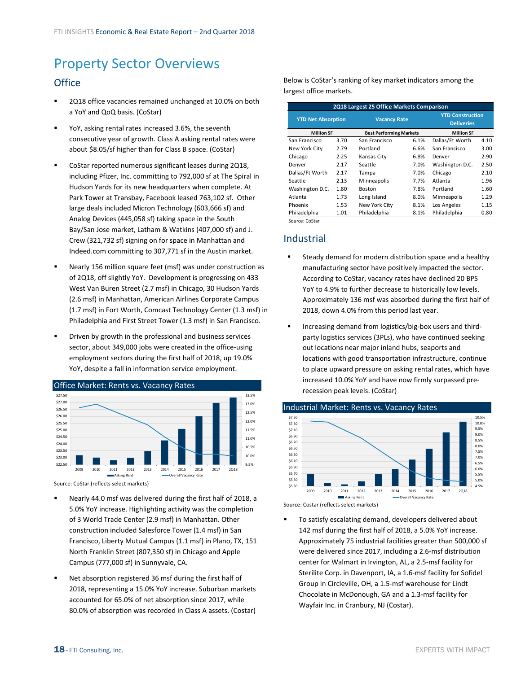## <span id="page-17-0"></span>Property Sector Overviews

### **Office**

- 2Q18 office vacancies remained unchanged at 10.0% on both a YoY and QoQ basis. (CoStar)
- YoY, asking rental rates increased 3.6%, the seventh consecutive year of growth. Class A asking rental rates were about \$8.05/sf higher than for Class B space. (CoStar)
- CoStar reported numerous significant leases during 2Q18, including Pfizer, Inc. committing to 792,000 sf at The Spiral in Hudson Yards for its new headquarters when complete. At Park Tower at Transbay, Facebook leased 763,102 sf. Other large deals included Micron Technology (603,666 sf) and Analog Devices (445,058 sf) taking space in the South Bay/San Jose market, Latham & Watkins (407,000 sf) and J. Crew (321,732 sf) signing on for space in Manhattan and Indeed.com committing to 307,771 sf in the Austin market.
- Nearly 156 million square feet (msf) was under construction as of 2Q18, off slightly YoY. Development is progressing on 433 West Van Buren Street (2.7 msf) in Chicago, 30 Hudson Yards (2.6 msf) in Manhattan, American Airlines Corporate Campus (1.7 msf) in Fort Worth, Comcast Technology Center (1.3 msf) in Philadelphia and First Street Tower (1.3 msf) in San Francisco.
- Driven by growth in the professional and business services sector, about 349,000 jobs were created in the office‐using employment sectors during the first half of 2018, up 19.0% YoY, despite a fall in information service employment.

![](_page_17_Figure_8.jpeg)

Source: CoStar (reflects select markets)

- Nearly 44.0 msf was delivered during the first half of 2018, a 5.0% YoY increase. Highlighting activity was the completion of 3 World Trade Center (2.9 msf) in Manhattan. Other construction included Salesforce Tower (1.4 msf) in San Francisco, Liberty Mutual Campus (1.1 msf) in Plano, TX, 151 North Franklin Street (807,350 sf) in Chicago and Apple Campus (777,000 sf) in Sunnyvale, CA.
- Net absorption registered 36 msf during the first half of 2018, representing a 15.0% YoY increase. Suburban markets accounted for 65.0% of net absorption since 2017, while 80.0% of absorption was recorded in Class A assets. (Costar)

Below is CoStar's ranking of key market indicators among the largest office markets.

|                           | 2Q18 Largest 25 Office Markets Comparison |                                |      |                                              |      |  |  |
|---------------------------|-------------------------------------------|--------------------------------|------|----------------------------------------------|------|--|--|
| <b>YTD Net Absorption</b> |                                           | <b>Vacancy Rate</b>            |      | <b>YTD Construction</b><br><b>Deliveries</b> |      |  |  |
| <b>Million SF</b>         |                                           | <b>Best Performing Markets</b> |      | <b>Million SF</b>                            |      |  |  |
| San Francisco             | 3.70                                      | San Francisco                  | 6.1% | Dallas/Ft Worth                              | 4.10 |  |  |
| New York City             | 2.79                                      | Portland                       | 6.6% | San Francisco                                | 3.00 |  |  |
| Chicago                   | 2.25                                      | Kansas City                    | 6.8% | Denver                                       | 2.90 |  |  |
| Denver                    | 2.17                                      | Seattle                        | 7.0% | Washington D.C.                              | 2.50 |  |  |
| Dallas/Ft Worth           | 2.17                                      | Tampa                          | 7.0% | Chicago                                      | 2.10 |  |  |
| Seattle                   | 2.13                                      | Minneapolis                    | 7.7% | Atlanta                                      | 1.96 |  |  |
| Washington D.C.           | 1.80                                      | <b>Boston</b>                  | 7.8% | Portland                                     | 1.60 |  |  |
| Atlanta                   | 1.73                                      | Long Island                    | 8.0% | Minneapolis                                  | 1.29 |  |  |
| Phoenix                   | 1.53                                      | New York City                  | 8.1% | Los Angeles                                  | 1.15 |  |  |
| Philadelphia              | 1.01                                      | Philadelphia                   | 8.1% | Philadelphia                                 | 0.80 |  |  |
| Source: CoStar            |                                           |                                |      |                                              |      |  |  |

### Industrial

- Steady demand for modern distribution space and a healthy manufacturing sector have positively impacted the sector. According to CoStar, vacancy rates have declined 20 BPS YoY to 4.9% to further decrease to historically low levels. Approximately 136 msf was absorbed during the first half of 2018, down 4.0% from this period last year.
- Increasing demand from logistics/big-box users and thirdparty logistics services (3PLs), who have continued seeking out locations near major inland hubs, seaports and locations with good transportation infrastructure, continue to place upward pressure on asking rental rates, which have increased 10.0% YoY and have now firmly surpassed pre‐ recession peak levels. (CoStar)

![](_page_17_Figure_17.jpeg)

Source: Costar (reflects select markets)

 To satisfy escalating demand, developers delivered about 142 msf during the first half of 2018, a 5.0% YoY increase. Approximately 75 industrial facilities greater than 500,000 sf were delivered since 2017, including a 2.6‐msf distribution center for Walmart in Irvington, AL, a 2.5‐msf facility for Sterilite Corp. in Davenport, IA, a 1.6‐msf facility for Sofidel Group in Circleville, OH, a 1.5‐msf warehouse for Lindt Chocolate in McDonough, GA and a 1.3‐msf facility for Wayfair Inc. in Cranbury, NJ (Costar).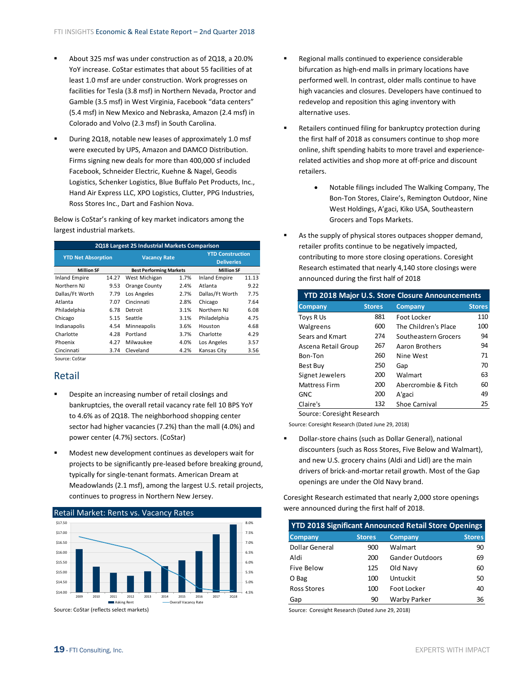- <span id="page-18-0"></span> About 325 msf was under construction as of 2Q18, a 20.0% YoY increase. CoStar estimates that about 55 facilities of at least 1.0 msf are under construction. Work progresses on facilities for Tesla (3.8 msf) in Northern Nevada, Proctor and Gamble (3.5 msf) in West Virginia, Facebook "data centers" (5.4 msf) in New Mexico and Nebraska, Amazon (2.4 msf) in Colorado and Volvo (2.3 msf) in South Carolina.
- During 2Q18, notable new leases of approximately 1.0 msf were executed by UPS, Amazon and DAMCO Distribution. Firms signing new deals for more than 400,000 sf included Facebook, Schneider Electric, Kuehne & Nagel, Geodis Logistics, Schenker Logistics, Blue Buffalo Pet Products, Inc., Hand Air Express LLC, XPO Logistics, Clutter, PPG Industries, Ross Stores Inc., Dart and Fashion Nova.

Below is CoStar's ranking of key market indicators among the largest industrial markets.

| 2Q18 Largest 25 Industrial Markets Comparison |       |                                |      |                                              |       |  |  |
|-----------------------------------------------|-------|--------------------------------|------|----------------------------------------------|-------|--|--|
| <b>YTD Net Absorption</b>                     |       | <b>Vacancy Rate</b>            |      | <b>YTD Construction</b><br><b>Deliveries</b> |       |  |  |
| <b>Million SF</b>                             |       | <b>Best Performing Markets</b> |      | <b>Million SF</b>                            |       |  |  |
| <b>Inland Empire</b>                          | 14.27 | West Michigan                  | 1.7% | <b>Inland Empire</b>                         | 11.13 |  |  |
| Northern NJ                                   | 9.53  | Orange County                  | 2.4% | Atlanta                                      | 9.22  |  |  |
| Dallas/Ft Worth                               | 7.79  | Los Angeles                    | 2.7% | Dallas/Ft Worth                              | 7.75  |  |  |
| Atlanta                                       | 7.07  | Cincinnati                     | 2.8% | Chicago                                      | 7.64  |  |  |
| Philadelphia                                  | 6.78  | Detroit                        | 3.1% | Northern NJ                                  | 6.08  |  |  |
| Chicago                                       | 5.15  | Seattle                        | 3.1% | Philadelphia                                 | 4.75  |  |  |
| Indianapolis                                  | 4.54  | Minneapolis                    | 3.6% | Houston                                      | 4.68  |  |  |
| Charlotte                                     | 4.28  | Portland                       | 3.7% | Charlotte                                    | 4.29  |  |  |
| Phoenix                                       | 4.27  | Milwaukee                      | 4.0% | Los Angeles                                  | 3.57  |  |  |
| Cincinnati                                    | 3.74  | Cleveland                      | 4.2% | Kansas City                                  | 3.56  |  |  |

Source: CoStar

### Retail

- Despite an increasing number of retail clos**i**ngs and bankruptcies, the overall retail vacancy rate fell 10 BPS YoY to 4.6% as of 2Q18. The neighborhood shopping center sector had higher vacancies (7.2%) than the mall (4.0%) and power center (4.7%) sectors. (CoStar)
- Modest new development continues as developers wait for projects to be significantly pre‐leased before breaking ground, typically for single‐tenant formats. American Dream at Meadowlands (2.1 msf), among the largest U.S. retail projects, continues to progress in Northern New Jersey.

![](_page_18_Figure_9.jpeg)

 Regional malls continued to experience considerable bifurcation as high‐end malls in primary locations have performed well. In contrast, older malls continue to have high vacancies and closures. Developers have continued to redevelop and reposition this aging inventory with alternative uses.

- Retailers continued filing for bankruptcy protection during the first half of 2018 as consumers continue to shop more online, shift spending habits to more travel and experience‐ related activities and shop more at off‐price and discount retailers.
	- Notable filings included The Walking Company, The Bon‐Ton Stores, Claire's, Remington Outdoor, Nine West Holdings, A'gaci, Kiko USA, Southeastern Grocers and Tops Markets.
- As the supply of physical stores outpaces shopper demand, retailer profits continue to be negatively impacted, contributing to more store closing operations. Coresight Research estimated that nearly 4,140 store closings were announced during the first half of 2018

| <b>YTD 2018 Major U.S. Store Closure Announcements</b> |               |                      |               |  |
|--------------------------------------------------------|---------------|----------------------|---------------|--|
| <b>Company</b>                                         | <b>Stores</b> | <b>Company</b>       | <b>Stores</b> |  |
| Toys R Us                                              | 881           | Foot Locker          | 110           |  |
| Walgreens                                              | 600           | The Children's Place | 100           |  |
| Sears and Kmart                                        | 274           | Southeastern Grocers | 94            |  |
| Ascena Retail Group                                    | 267           | Aaron Brothers       | 94            |  |
| Bon-Ton                                                | 260           | Nine West            | 71            |  |
| Best Buy                                               | 250           | Gap                  | 70            |  |
| Signet Jewelers                                        | 200           | Walmart              | 63            |  |
| <b>Mattress Firm</b>                                   | 200           | Abercrombie & Fitch  | 60            |  |
| <b>GNC</b>                                             | 200           | A'gaci               | 49            |  |
| Claire's                                               | 132           | <b>Shoe Carnival</b> | 25            |  |

Source: Coresight Research

Source: Coresight Research (Dated June 29, 2018)

 Dollar‐store chains (such as Dollar General), national discounters (such as Ross Stores, Five Below and Walmart), and new U.S. grocery chains (Aldi and Lidl) are the main drivers of brick‐and‐mortar retail growth. Most of the Gap openings are under the Old Navy brand.

Coresight Research estimated that nearly 2,000 store openings were announced during the first half of 2018.

| <b>YTD 2018 Significant Announced Retail Store Openings</b> |               |                        |               |  |
|-------------------------------------------------------------|---------------|------------------------|---------------|--|
| <b>Company</b>                                              | <b>Stores</b> | <b>Company</b>         | <b>Stores</b> |  |
| Dollar General                                              | 900           | Walmart                | 90            |  |
| Aldi                                                        | 200           | <b>Gander Outdoors</b> | 69            |  |
| Five Below                                                  | 125           | Old Navy               | 60            |  |
| O Bag                                                       | 100           | Untuckit               | 50            |  |
| Ross Stores                                                 | 100           | Foot Locker            | 40            |  |
| Gap                                                         | 90            | <b>Warby Parker</b>    | 36            |  |

Source: Coresight Research (Dated June 29, 2018)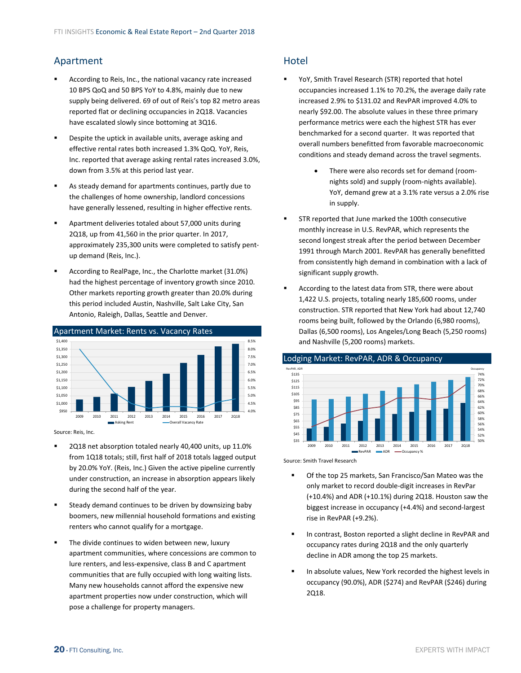## <span id="page-19-0"></span>Apartment

- According to Reis, Inc., the national vacancy rate increased 10 BPS QoQ and 50 BPS YoY to 4.8%, mainly due to new supply being delivered. 69 of out of Reis's top 82 metro areas reported flat or declining occupancies in 2Q18. Vacancies have escalated slowly since bottoming at 3Q16.
- Despite the uptick in available units, average asking and effective rental rates both increased 1.3% QoQ. YoY, Reis, Inc. reported that average asking rental rates increased 3.0%, down from 3.5% at this period last year.
- As steady demand for apartments continues, partly due to the challenges of home ownership, landlord concessions have generally lessened, resulting in higher effective rents.
- Apartment deliveries totaled about 57,000 units during 2Q18, up from 41,560 in the prior quarter. In 2017, approximately 235,300 units were completed to satisfy pent‐ up demand (Reis, Inc.).
- According to RealPage, Inc., the Charlotte market (31.0%) had the highest percentage of inventory growth since 2010. Other markets reporting growth greater than 20.0% during this period included Austin, Nashville, Salt Lake City, San Antonio, Raleigh, Dallas, Seattle and Denver.

![](_page_19_Figure_7.jpeg)

Source: Reis, Inc.

- 2Q18 net absorption totaled nearly 40,400 units, up 11.0% from 1Q18 totals; still, first half of 2018 totals lagged output by 20.0% YoY. (Reis, Inc.) Given the active pipeline currently under construction, an increase in absorption appears likely during the second half of the year.
- Steady demand continues to be driven by downsizing baby boomers, new millennial household formations and existing renters who cannot qualify for a mortgage.
- The divide continues to widen between new, luxury apartment communities, where concessions are common to lure renters, and less‐expensive, class B and C apartment communities that are fully occupied with long waiting lists. Many new households cannot afford the expensive new apartment properties now under construction, which will pose a challenge for property managers.

## **Hotel**

- YoY, Smith Travel Research (STR) reported that hotel occupancies increased 1.1% to 70.2%, the average daily rate increased 2.9% to \$131.02 and RevPAR improved 4.0% to nearly \$92.00. The absolute values in these three primary performance metrics were each the highest STR has ever benchmarked for a second quarter. It was reported that overall numbers benefitted from favorable macroeconomic conditions and steady demand across the travel segments.
	- There were also records set for demand (room‐ nights sold) and supply (room‐nights available). YoY, demand grew at a 3.1% rate versus a 2.0% rise in supply.
- STR reported that June marked the 100th consecutive monthly increase in U.S. RevPAR, which represents the second longest streak after the period between December 1991 through March 2001. RevPAR has generally benefitted from consistently high demand in combination with a lack of significant supply growth.
- According to the latest data from STR, there were about 1,422 U.S. projects, totaling nearly 185,600 rooms, under construction. STR reported that New York had about 12,740 rooms being built, followed by the Orlando (6,980 rooms), Dallas (6,500 rooms), Los Angeles/Long Beach (5,250 rooms) and Nashville (5,200 rooms) markets.

![](_page_19_Figure_17.jpeg)

Lodging Market: RevPAR, ADR & Occupancy

Source: Smith Travel Research

- Of the top 25 markets, San Francisco/San Mateo was the only market to record double‐digit increases in RevPar (+10.4%) and ADR (+10.1%) during 2Q18. Houston saw the biggest increase in occupancy (+4.4%) and second‐largest rise in RevPAR (+9.2%).
- In contrast, Boston reported a slight decline in RevPAR and occupancy rates during 2Q18 and the only quarterly decline in ADR among the top 25 markets.
- In absolute values, New York recorded the highest levels in occupancy (90.0%), ADR (\$274) and RevPAR (\$246) during 2Q18.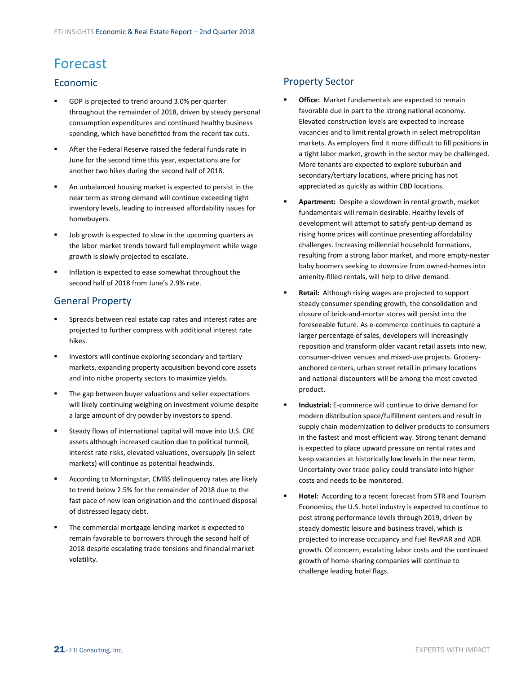## <span id="page-20-0"></span>Forecast

### Economic

- GDP is projected to trend around 3.0% per quarter throughout the remainder of 2018, driven by steady personal consumption expenditures and continued healthy business spending, which have benefitted from the recent tax cuts.
- After the Federal Reserve raised the federal funds rate in June for the second time this year, expectations are for another two hikes during the second half of 2018.
- An unbalanced housing market is expected to persist in the near term as strong demand will continue exceeding tight inventory levels, leading to increased affordability issues for homebuyers.
- Job growth is expected to slow in the upcoming quarters as the labor market trends toward full employment while wage growth is slowly projected to escalate.
- Inflation is expected to ease somewhat throughout the second half of 2018 from June's 2.9% rate.

### General Property

- Spreads between real estate cap rates and interest rates are projected to further compress with additional interest rate hikes.
- Investors will continue exploring secondary and tertiary markets, expanding property acquisition beyond core assets and into niche property sectors to maximize yields.
- The gap between buyer valuations and seller expectations will likely continuing weighing on investment volume despite a large amount of dry powder by investors to spend.
- Steady flows of international capital will move into U.S. CRE assets although increased caution due to political turmoil, interest rate risks, elevated valuations, oversupply (in select markets) will continue as potential headwinds.
- According to Morningstar, CMBS delinquency rates are likely to trend below 2.5% for the remainder of 2018 due to the fast pace of new loan origination and the continued disposal of distressed legacy debt.
- The commercial mortgage lending market is expected to remain favorable to borrowers through the second half of 2018 despite escalating trade tensions and financial market volatility.

## Property Sector

- **Office:** Market fundamentals are expected to remain favorable due in part to the strong national economy. Elevated construction levels are expected to increase vacancies and to limit rental growth in select metropolitan markets. As employers find it more difficult to fill positions in a tight labor market, growth in the sector may be challenged. More tenants are expected to explore suburban and secondary/tertiary locations, where pricing has not appreciated as quickly as within CBD locations.
- **Apartment:** Despite a slowdown in rental growth, market fundamentals will remain desirable. Healthy levels of development will attempt to satisfy pent‐up demand as rising home prices will continue presenting affordability challenges. Increasing millennial household formations, resulting from a strong labor market, and more empty‐nester baby boomers seeking to downsize from owned‐homes into amenity‐filled rentals, will help to drive demand.
- **Retail:** Although rising wages are projected to support steady consumer spending growth, the consolidation and closure of brick‐and‐mortar stores will persist into the foreseeable future. As e‐commerce continues to capture a larger percentage of sales, developers will increasingly reposition and transform older vacant retail assets into new, consumer‐driven venues and mixed‐use projects. Grocery‐ anchored centers, urban street retail in primary locations and national discounters will be among the most coveted product.
- **Industrial:** E‐commerce will continue to drive demand for modern distribution space/fulfillment centers and result in supply chain modernization to deliver products to consumers in the fastest and most efficient way. Strong tenant demand is expected to place upward pressure on rental rates and keep vacancies at historically low levels in the near term. Uncertainty over trade policy could translate into higher costs and needs to be monitored.
- **Hotel:** According to a recent forecast from STR and Tourism Economics, the U.S. hotel industry is expected to continue to post strong performance levels through 2019, driven by steady domestic leisure and business travel, which is projected to increase occupancy and fuel RevPAR and ADR growth. Of concern, escalating labor costs and the continued growth of home‐sharing companies will continue to challenge leading hotel flags.